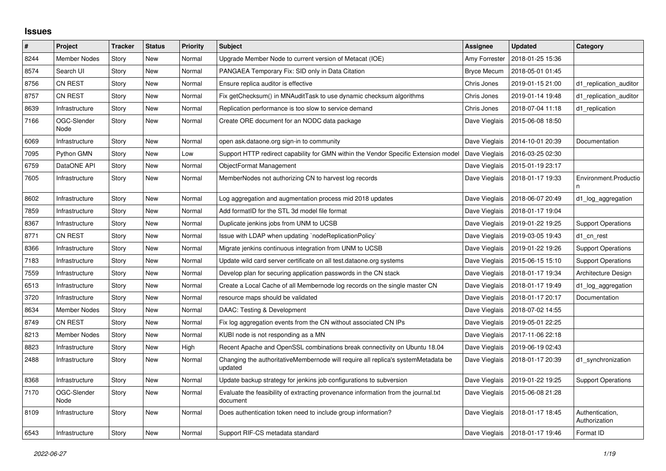## **Issues**

| $\sharp$ | Project             | <b>Tracker</b> | <b>Status</b> | <b>Priority</b> | <b>Subject</b>                                                                                 | Assignee           | <b>Updated</b>                   | Category                         |
|----------|---------------------|----------------|---------------|-----------------|------------------------------------------------------------------------------------------------|--------------------|----------------------------------|----------------------------------|
| 8244     | <b>Member Nodes</b> | Story          | <b>New</b>    | Normal          | Upgrade Member Node to current version of Metacat (IOE)                                        | Amy Forrester      | 2018-01-25 15:36                 |                                  |
| 8574     | Search UI           | Story          | <b>New</b>    | Normal          | PANGAEA Temporary Fix: SID only in Data Citation                                               | <b>Bryce Mecum</b> | 2018-05-01 01:45                 |                                  |
| 8756     | <b>CN REST</b>      | Story          | New           | Normal          | Ensure replica auditor is effective                                                            | Chris Jones        | 2019-01-15 21:00                 | d1_replication_auditor           |
| 8757     | CN REST             | Story          | <b>New</b>    | Normal          | Fix getChecksum() in MNAuditTask to use dynamic checksum algorithms                            | Chris Jones        | 2019-01-14 19:48                 | d1 replication auditor           |
| 8639     | Infrastructure      | Story          | <b>New</b>    | Normal          | Replication performance is too slow to service demand                                          | Chris Jones        | 2018-07-04 11:18                 | d1 replication                   |
| 7166     | OGC-Slender<br>Node | Story          | New           | Normal          | Create ORE document for an NODC data package                                                   | Dave Vieglais      | 2015-06-08 18:50                 |                                  |
| 6069     | Infrastructure      | Story          | <b>New</b>    | Normal          | open ask dataone org sign-in to community                                                      | Dave Vieglais      | 2014-10-01 20:39                 | Documentation                    |
| 7095     | Python GMN          | Story          | New           | Low             | Support HTTP redirect capability for GMN within the Vendor Specific Extension model            | Dave Vieglais      | 2016-03-25 02:30                 |                                  |
| 6759     | DataONE API         | Story          | <b>New</b>    | Normal          | ObjectFormat Management                                                                        | Dave Vieglais      | 2015-01-19 23:17                 |                                  |
| 7605     | Infrastructure      | Story          | <b>New</b>    | Normal          | MemberNodes not authorizing CN to harvest log records                                          | Dave Vieglais      | 2018-01-17 19:33                 | Environment.Productio            |
| 8602     | Infrastructure      | Story          | <b>New</b>    | Normal          | Log aggregation and augmentation process mid 2018 updates                                      | Dave Vieglais      | 2018-06-07 20:49                 | d1_log_aggregation               |
| 7859     | Infrastructure      | Story          | New           | Normal          | Add formatID for the STL 3d model file format                                                  | Dave Vieglais      | 2018-01-17 19:04                 |                                  |
| 8367     | Infrastructure      | Story          | <b>New</b>    | Normal          | Duplicate jenkins jobs from UNM to UCSB                                                        | Dave Vieglais      | 2019-01-22 19:25                 | <b>Support Operations</b>        |
| 8771     | <b>CN REST</b>      | Story          | <b>New</b>    | Normal          | Issue with LDAP when updating `nodeReplicationPolicy`                                          | Dave Vieglais      | 2019-03-05 19:43                 | d1 cn rest                       |
| 8366     | Infrastructure      | Story          | New           | Normal          | Migrate jenkins continuous integration from UNM to UCSB                                        | Dave Vieglais      | 2019-01-22 19:26                 | <b>Support Operations</b>        |
| 7183     | Infrastructure      | Story          | New           | Normal          | Update wild card server certificate on all test.dataone.org systems                            | Dave Vieglais      | 2015-06-15 15:10                 | <b>Support Operations</b>        |
| 7559     | Infrastructure      | Story          | <b>New</b>    | Normal          | Develop plan for securing application passwords in the CN stack                                | Dave Vieglais      | 2018-01-17 19:34                 | Architecture Design              |
| 6513     | Infrastructure      | Story          | New           | Normal          | Create a Local Cache of all Membernode log records on the single master CN                     | Dave Vieglais      | 2018-01-17 19:49                 | d1_log_aggregation               |
| 3720     | Infrastructure      | Story          | New           | Normal          | resource maps should be validated                                                              | Dave Vieglais      | 2018-01-17 20:17                 | Documentation                    |
| 8634     | <b>Member Nodes</b> | Story          | <b>New</b>    | Normal          | DAAC: Testing & Development                                                                    | Dave Vieglais      | 2018-07-02 14:55                 |                                  |
| 8749     | <b>CN REST</b>      | Story          | <b>New</b>    | Normal          | Fix log aggregation events from the CN without associated CN IPs                               | Dave Vieglais      | 2019-05-01 22:25                 |                                  |
| 8213     | <b>Member Nodes</b> | Story          | <b>New</b>    | Normal          | KUBI node is not responding as a MN                                                            | Dave Vieglais      | 2017-11-06 22:18                 |                                  |
| 8823     | Infrastructure      | Story          | New           | High            | Recent Apache and OpenSSL combinations break connectivity on Ubuntu 18.04                      | Dave Vieglais      | 2019-06-19 02:43                 |                                  |
| 2488     | Infrastructure      | Story          | New           | Normal          | Changing the authoritativeMembernode will require all replica's systemMetadata be<br>updated   | Dave Vieglais      | 2018-01-17 20:39                 | d1_synchronization               |
| 8368     | Infrastructure      | Story          | <b>New</b>    | Normal          | Update backup strategy for jenkins job configurations to subversion                            | Dave Vieglais      | 2019-01-22 19:25                 | <b>Support Operations</b>        |
| 7170     | OGC-Slender<br>Node | Story          | <b>New</b>    | Normal          | Evaluate the feasibility of extracting provenance information from the journal.txt<br>document | Dave Vieglais      | 2015-06-08 21:28                 |                                  |
| 8109     | Infrastructure      | Story          | New           | Normal          | Does authentication token need to include group information?                                   | Dave Vieglais      | 2018-01-17 18:45                 | Authentication,<br>Authorization |
| 6543     | Infrastructure      | Story          | <b>New</b>    | Normal          | Support RIF-CS metadata standard                                                               |                    | Dave Vieglais   2018-01-17 19:46 | Format ID                        |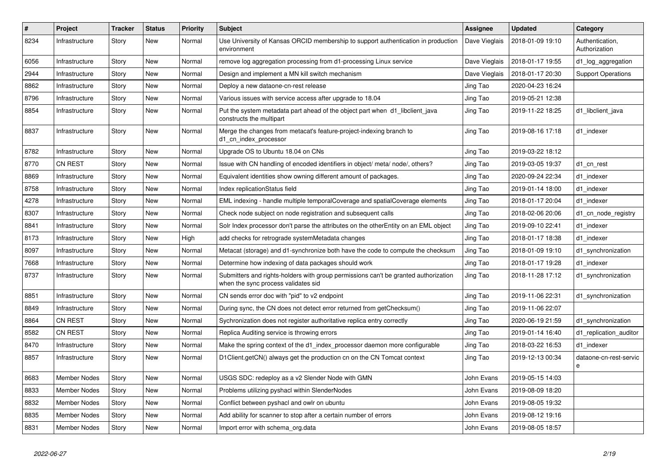| #    | Project             | <b>Tracker</b> | <b>Status</b> | <b>Priority</b> | <b>Subject</b>                                                                                                             | Assignee      | <b>Updated</b>   | Category                         |
|------|---------------------|----------------|---------------|-----------------|----------------------------------------------------------------------------------------------------------------------------|---------------|------------------|----------------------------------|
| 8234 | Infrastructure      | Story          | <b>New</b>    | Normal          | Use University of Kansas ORCID membership to support authentication in production<br>environment                           | Dave Vieglais | 2018-01-09 19:10 | Authentication.<br>Authorization |
| 6056 | Infrastructure      | Story          | New           | Normal          | remove log aggregation processing from d1-processing Linux service                                                         | Dave Vieglais | 2018-01-17 19:55 | d1_log_aggregation               |
| 2944 | Infrastructure      | Story          | <b>New</b>    | Normal          | Design and implement a MN kill switch mechanism                                                                            | Dave Vieglais | 2018-01-17 20:30 | <b>Support Operations</b>        |
| 8862 | Infrastructure      | Story          | <b>New</b>    | Normal          | Deploy a new dataone-cn-rest release                                                                                       | Jing Tao      | 2020-04-23 16:24 |                                  |
| 8796 | Infrastructure      | Story          | <b>New</b>    | Normal          | Various issues with service access after upgrade to 18.04                                                                  | Jing Tao      | 2019-05-21 12:38 |                                  |
| 8854 | Infrastructure      | Story          | <b>New</b>    | Normal          | Put the system metadata part ahead of the object part when d1 libclient java<br>constructs the multipart                   | Jing Tao      | 2019-11-22 18:25 | d1 libclient java                |
| 8837 | Infrastructure      | Story          | New           | Normal          | Merge the changes from metacat's feature-project-indexing branch to<br>d1_cn_index_processor                               | Jing Tao      | 2019-08-16 17:18 | d1 indexer                       |
| 8782 | Infrastructure      | Story          | <b>New</b>    | Normal          | Upgrade OS to Ubuntu 18.04 on CNs                                                                                          | Jing Tao      | 2019-03-22 18:12 |                                  |
| 8770 | <b>CN REST</b>      | Story          | <b>New</b>    | Normal          | Issue with CN handling of encoded identifiers in object/ meta/ node/, others?                                              | Jing Tao      | 2019-03-05 19:37 | d1_cn_rest                       |
| 8869 | Infrastructure      | Story          | <b>New</b>    | Normal          | Equivalent identities show owning different amount of packages.                                                            | Jing Tao      | 2020-09-24 22:34 | d1 indexer                       |
| 8758 | Infrastructure      | Story          | New           | Normal          | Index replicationStatus field                                                                                              | Jing Tao      | 2019-01-14 18:00 | d1 indexer                       |
| 4278 | Infrastructure      | Story          | <b>New</b>    | Normal          | EML indexing - handle multiple temporalCoverage and spatialCoverage elements                                               | Jing Tao      | 2018-01-17 20:04 | d1 indexer                       |
| 8307 | Infrastructure      | Story          | <b>New</b>    | Normal          | Check node subject on node registration and subsequent calls                                                               | Jing Tao      | 2018-02-06 20:06 | d1_cn_node_registry              |
| 8841 | Infrastructure      | Story          | New           | Normal          | Solr Index processor don't parse the attributes on the other Entity on an EML object                                       | Jing Tao      | 2019-09-10 22:41 | d1 indexer                       |
| 8173 | Infrastructure      | Story          | New           | High            | add checks for retrograde systemMetadata changes                                                                           | Jing Tao      | 2018-01-17 18:38 | d1 indexer                       |
| 8097 | Infrastructure      | Story          | <b>New</b>    | Normal          | Metacat (storage) and d1-synchronize both have the code to compute the checksum                                            | Jing Tao      | 2018-01-09 19:10 | d1 synchronization               |
| 7668 | Infrastructure      | Story          | <b>New</b>    | Normal          | Determine how indexing of data packages should work                                                                        | Jing Tao      | 2018-01-17 19:28 | d1 indexer                       |
| 8737 | Infrastructure      | Story          | New           | Normal          | Submitters and rights-holders with group permissions can't be granted authorization<br>when the sync process validates sid | Jing Tao      | 2018-11-28 17:12 | d1 synchronization               |
| 8851 | Infrastructure      | Story          | <b>New</b>    | Normal          | CN sends error doc with "pid" to v2 endpoint                                                                               | Jing Tao      | 2019-11-06 22:31 | d1_synchronization               |
| 8849 | Infrastructure      | Story          | <b>New</b>    | Normal          | During sync, the CN does not detect error returned from getChecksum()                                                      | Jing Tao      | 2019-11-06 22:07 |                                  |
| 8864 | <b>CN REST</b>      | Story          | <b>New</b>    | Normal          | Sychronization does not register authoritative replica entry correctly                                                     | Jing Tao      | 2020-06-19 21:59 | d1_synchronization               |
| 8582 | <b>CN REST</b>      | Story          | <b>New</b>    | Normal          | Replica Auditing service is throwing errors                                                                                | Jing Tao      | 2019-01-14 16:40 | d1_replication_auditor           |
| 8470 | Infrastructure      | Story          | <b>New</b>    | Normal          | Make the spring context of the d1_index_processor daemon more configurable                                                 | Jing Tao      | 2018-03-22 16:53 | d1 indexer                       |
| 8857 | Infrastructure      | Story          | New           | Normal          | D1Client.getCN() always get the production cn on the CN Tomcat context                                                     | Jing Tao      | 2019-12-13 00:34 | dataone-cn-rest-servic<br>e      |
| 8683 | <b>Member Nodes</b> | Story          | New           | Normal          | USGS SDC: redeploy as a v2 Slender Node with GMN                                                                           | John Evans    | 2019-05-15 14:03 |                                  |
| 8833 | <b>Member Nodes</b> | Story          | <b>New</b>    | Normal          | Problems utilizing pyshacl within SlenderNodes                                                                             | John Evans    | 2019-08-09 18:20 |                                  |
| 8832 | <b>Member Nodes</b> | Story          | <b>New</b>    | Normal          | Conflict between pyshacl and owlr on ubuntu                                                                                | John Evans    | 2019-08-05 19:32 |                                  |
| 8835 | Member Nodes        | Story          | <b>New</b>    | Normal          | Add ability for scanner to stop after a certain number of errors                                                           | John Evans    | 2019-08-12 19:16 |                                  |
| 8831 | <b>Member Nodes</b> | Story          | <b>New</b>    | Normal          | Import error with schema org.data                                                                                          | John Evans    | 2019-08-05 18:57 |                                  |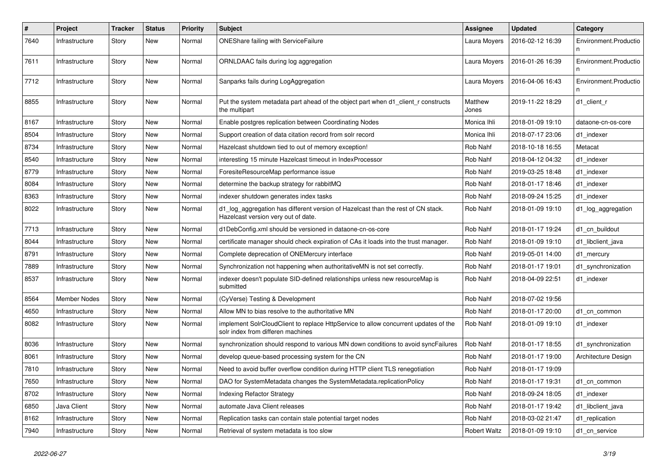| $\pmb{\#}$ | Project             | <b>Tracker</b> | <b>Status</b> | <b>Priority</b> | <b>Subject</b>                                                                                                           | <b>Assignee</b>     | <b>Updated</b>   | Category                   |
|------------|---------------------|----------------|---------------|-----------------|--------------------------------------------------------------------------------------------------------------------------|---------------------|------------------|----------------------------|
| 7640       | Infrastructure      | Story          | New           | Normal          | ONEShare failing with ServiceFailure                                                                                     | Laura Moyers        | 2016-02-12 16:39 | Environment.Productio      |
| 7611       | Infrastructure      | Story          | New           | Normal          | ORNLDAAC fails during log aggregation                                                                                    | Laura Moyers        | 2016-01-26 16:39 | Environment.Productio<br>n |
| 7712       | Infrastructure      | Story          | New           | Normal          | Sanparks fails during LogAggregation                                                                                     | Laura Moyers        | 2016-04-06 16:43 | Environment.Productio<br>n |
| 8855       | Infrastructure      | Story          | <b>New</b>    | Normal          | Put the system metadata part ahead of the object part when d1_client_r constructs<br>the multipart                       | Matthew<br>Jones    | 2019-11-22 18:29 | d1 client r                |
| 8167       | Infrastructure      | Story          | <b>New</b>    | Normal          | Enable postgres replication between Coordinating Nodes                                                                   | Monica Ihli         | 2018-01-09 19:10 | dataone-cn-os-core         |
| 8504       | Infrastructure      | Story          | <b>New</b>    | Normal          | Support creation of data citation record from solr record                                                                | Monica Ihli         | 2018-07-17 23:06 | d1 indexer                 |
| 8734       | Infrastructure      | Story          | New           | Normal          | Hazelcast shutdown tied to out of memory exception!                                                                      | Rob Nahf            | 2018-10-18 16:55 | Metacat                    |
| 8540       | Infrastructure      | Story          | <b>New</b>    | Normal          | interesting 15 minute Hazelcast timeout in IndexProcessor                                                                | Rob Nahf            | 2018-04-12 04:32 | d1 indexer                 |
| 8779       | Infrastructure      | Story          | New           | Normal          | ForesiteResourceMap performance issue                                                                                    | Rob Nahf            | 2019-03-25 18:48 | d1 indexer                 |
| 8084       | Infrastructure      | Story          | <b>New</b>    | Normal          | determine the backup strategy for rabbitMQ                                                                               | Rob Nahf            | 2018-01-17 18:46 | d1 indexer                 |
| 8363       | Infrastructure      | Story          | <b>New</b>    | Normal          | indexer shutdown generates index tasks                                                                                   | Rob Nahf            | 2018-09-24 15:25 | d1 indexer                 |
| 8022       | Infrastructure      | Story          | New           | Normal          | d1_log_aggregation has different version of Hazelcast than the rest of CN stack.<br>Hazelcast version very out of date.  | Rob Nahf            | 2018-01-09 19:10 | d1_log_aggregation         |
| 7713       | Infrastructure      | Story          | <b>New</b>    | Normal          | d1DebConfig.xml should be versioned in dataone-cn-os-core                                                                | Rob Nahf            | 2018-01-17 19:24 | d1_cn_buildout             |
| 8044       | Infrastructure      | Story          | New           | Normal          | certificate manager should check expiration of CAs it loads into the trust manager.                                      | Rob Nahf            | 2018-01-09 19:10 | d1 libclient java          |
| 8791       | Infrastructure      | Story          | <b>New</b>    | Normal          | Complete deprecation of ONEMercury interface                                                                             | Rob Nahf            | 2019-05-01 14:00 | d1_mercury                 |
| 7889       | Infrastructure      | Story          | New           | Normal          | Synchronization not happening when authoritativeMN is not set correctly.                                                 | Rob Nahf            | 2018-01-17 19:01 | d1_synchronization         |
| 8537       | Infrastructure      | Story          | New           | Normal          | indexer doesn't populate SID-defined relationships unless new resourceMap is<br>submitted                                | Rob Nahf            | 2018-04-09 22:51 | d1 indexer                 |
| 8564       | <b>Member Nodes</b> | Story          | <b>New</b>    | Normal          | (CyVerse) Testing & Development                                                                                          | Rob Nahf            | 2018-07-02 19:56 |                            |
| 4650       | Infrastructure      | Story          | <b>New</b>    | Normal          | Allow MN to bias resolve to the authoritative MN                                                                         | Rob Nahf            | 2018-01-17 20:00 | d1 cn common               |
| 8082       | Infrastructure      | Story          | <b>New</b>    | Normal          | implement SolrCloudClient to replace HttpService to allow concurrent updates of the<br>solr index from differen machines | Rob Nahf            | 2018-01-09 19:10 | d1 indexer                 |
| 8036       | Infrastructure      | Story          | <b>New</b>    | Normal          | synchronization should respond to various MN down conditions to avoid syncFailures                                       | Rob Nahf            | 2018-01-17 18:55 | d1_synchronization         |
| 8061       | Infrastructure      | Story          | New           | Normal          | develop queue-based processing system for the CN                                                                         | Rob Nahf            | 2018-01-17 19:00 | Architecture Design        |
| 7810       | Infrastructure      | Story          | New           | Normal          | Need to avoid buffer overflow condition during HTTP client TLS renegotiation                                             | Rob Nahf            | 2018-01-17 19:09 |                            |
| 7650       | Infrastructure      | Story          | New           | Normal          | DAO for SystemMetadata changes the SystemMetadata.replicationPolicy                                                      | Rob Nahf            | 2018-01-17 19:31 | d1_cn_common               |
| 8702       | Infrastructure      | Story          | <b>New</b>    | Normal          | <b>Indexing Refactor Strategy</b>                                                                                        | Rob Nahf            | 2018-09-24 18:05 | d1 indexer                 |
| 6850       | Java Client         | Story          | New           | Normal          | automate Java Client releases                                                                                            | Rob Nahf            | 2018-01-17 19:42 | d1_libclient_java          |
| 8162       | Infrastructure      | Story          | New           | Normal          | Replication tasks can contain stale potential target nodes                                                               | Rob Nahf            | 2018-03-02 21:47 | d1_replication             |
| 7940       | Infrastructure      | Story          | New           | Normal          | Retrieval of system metadata is too slow                                                                                 | <b>Robert Waltz</b> | 2018-01-09 19:10 | d1_cn_service              |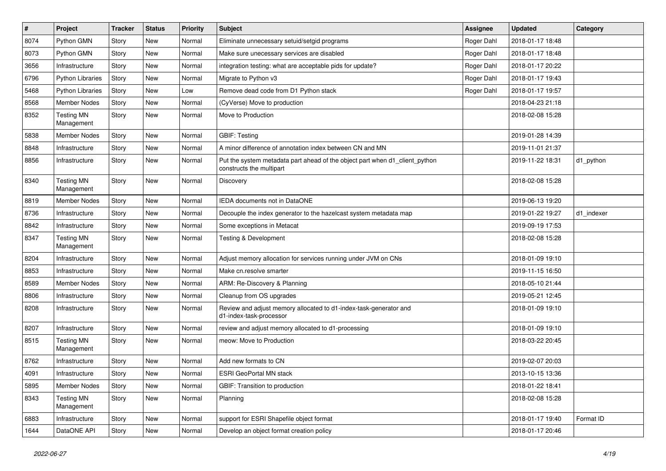| #    | Project                         | <b>Tracker</b> | <b>Status</b> | <b>Priority</b> | <b>Subject</b>                                                                                          | Assignee   | <b>Updated</b>   | Category   |
|------|---------------------------------|----------------|---------------|-----------------|---------------------------------------------------------------------------------------------------------|------------|------------------|------------|
| 8074 | Python GMN                      | Story          | New           | Normal          | Eliminate unnecessary setuid/setgid programs                                                            | Roger Dahl | 2018-01-17 18:48 |            |
| 8073 | Python GMN                      | Story          | <b>New</b>    | Normal          | Make sure unecessary services are disabled                                                              | Roger Dahl | 2018-01-17 18:48 |            |
| 3656 | Infrastructure                  | Story          | New           | Normal          | integration testing: what are acceptable pids for update?                                               | Roger Dahl | 2018-01-17 20:22 |            |
| 6796 | <b>Python Libraries</b>         | Story          | New           | Normal          | Migrate to Python v3                                                                                    | Roger Dahl | 2018-01-17 19:43 |            |
| 5468 | <b>Python Libraries</b>         | Story          | <b>New</b>    | Low             | Remove dead code from D1 Python stack                                                                   | Roger Dahl | 2018-01-17 19:57 |            |
| 8568 | Member Nodes                    | Story          | New           | Normal          | (CyVerse) Move to production                                                                            |            | 2018-04-23 21:18 |            |
| 8352 | <b>Testing MN</b><br>Management | Story          | New           | Normal          | Move to Production                                                                                      |            | 2018-02-08 15:28 |            |
| 5838 | <b>Member Nodes</b>             | Story          | New           | Normal          | <b>GBIF: Testing</b>                                                                                    |            | 2019-01-28 14:39 |            |
| 8848 | Infrastructure                  | Story          | <b>New</b>    | Normal          | A minor difference of annotation index between CN and MN                                                |            | 2019-11-01 21:37 |            |
| 8856 | Infrastructure                  | Story          | New           | Normal          | Put the system metadata part ahead of the object part when d1_client_python<br>constructs the multipart |            | 2019-11-22 18:31 | d1_python  |
| 8340 | <b>Testing MN</b><br>Management | Story          | New           | Normal          | Discovery                                                                                               |            | 2018-02-08 15:28 |            |
| 8819 | Member Nodes                    | Story          | New           | Normal          | IEDA documents not in DataONE                                                                           |            | 2019-06-13 19:20 |            |
| 8736 | Infrastructure                  | Story          | New           | Normal          | Decouple the index generator to the hazelcast system metadata map                                       |            | 2019-01-22 19:27 | d1 indexer |
| 8842 | Infrastructure                  | Story          | New           | Normal          | Some exceptions in Metacat                                                                              |            | 2019-09-19 17:53 |            |
| 8347 | <b>Testing MN</b><br>Management | Story          | New           | Normal          | Testing & Development                                                                                   |            | 2018-02-08 15:28 |            |
| 8204 | Infrastructure                  | Story          | New           | Normal          | Adjust memory allocation for services running under JVM on CNs                                          |            | 2018-01-09 19:10 |            |
| 8853 | Infrastructure                  | Story          | New           | Normal          | Make cn.resolve smarter                                                                                 |            | 2019-11-15 16:50 |            |
| 8589 | <b>Member Nodes</b>             | Story          | New           | Normal          | ARM: Re-Discovery & Planning                                                                            |            | 2018-05-10 21:44 |            |
| 8806 | Infrastructure                  | Story          | New           | Normal          | Cleanup from OS upgrades                                                                                |            | 2019-05-21 12:45 |            |
| 8208 | Infrastructure                  | Story          | New           | Normal          | Review and adjust memory allocated to d1-index-task-generator and<br>d1-index-task-processor            |            | 2018-01-09 19:10 |            |
| 8207 | Infrastructure                  | Story          | New           | Normal          | review and adjust memory allocated to d1-processing                                                     |            | 2018-01-09 19:10 |            |
| 8515 | <b>Testing MN</b><br>Management | Story          | New           | Normal          | meow: Move to Production                                                                                |            | 2018-03-22 20:45 |            |
| 8762 | Infrastructure                  | Story          | New           | Normal          | Add new formats to CN                                                                                   |            | 2019-02-07 20:03 |            |
| 4091 | Infrastructure                  | Story          | New           | Normal          | <b>ESRI GeoPortal MN stack</b>                                                                          |            | 2013-10-15 13:36 |            |
| 5895 | Member Nodes                    | Story          | New           | Normal          | GBIF: Transition to production                                                                          |            | 2018-01-22 18:41 |            |
| 8343 | <b>Testing MN</b><br>Management | Story          | New           | Normal          | Planning                                                                                                |            | 2018-02-08 15:28 |            |
| 6883 | Infrastructure                  | Story          | New           | Normal          | support for ESRI Shapefile object format                                                                |            | 2018-01-17 19:40 | Format ID  |
| 1644 | DataONE API                     | Story          | New           | Normal          | Develop an object format creation policy                                                                |            | 2018-01-17 20:46 |            |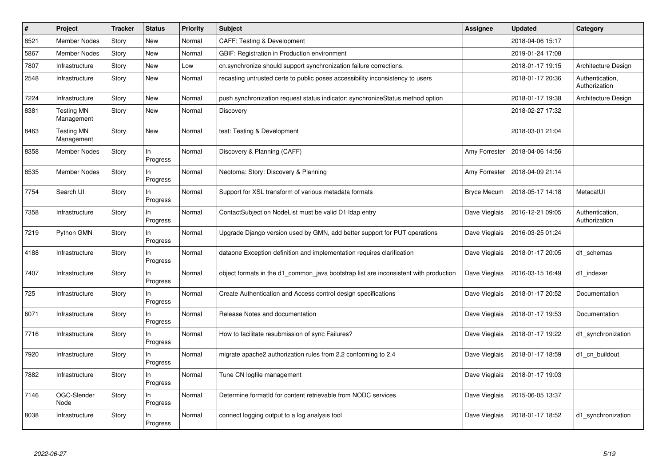| #    | Project                         | <b>Tracker</b> | <b>Status</b>   | <b>Priority</b> | <b>Subject</b>                                                                       | Assignee           | <b>Updated</b>   | Category                         |
|------|---------------------------------|----------------|-----------------|-----------------|--------------------------------------------------------------------------------------|--------------------|------------------|----------------------------------|
| 8521 | <b>Member Nodes</b>             | Story          | <b>New</b>      | Normal          | <b>CAFF: Testing &amp; Development</b>                                               |                    | 2018-04-06 15:17 |                                  |
| 5867 | <b>Member Nodes</b>             | Story          | <b>New</b>      | Normal          | GBIF: Registration in Production environment                                         |                    | 2019-01-24 17:08 |                                  |
| 7807 | Infrastructure                  | Story          | <b>New</b>      | Low             | cn.synchronize should support synchronization failure corrections.                   |                    | 2018-01-17 19:15 | Architecture Design              |
| 2548 | Infrastructure                  | Story          | <b>New</b>      | Normal          | recasting untrusted certs to public poses accessibility inconsistency to users       |                    | 2018-01-17 20:36 | Authentication,<br>Authorization |
| 7224 | Infrastructure                  | Story          | <b>New</b>      | Normal          | push synchronization request status indicator: synchronizeStatus method option       |                    | 2018-01-17 19:38 | Architecture Design              |
| 8381 | <b>Testing MN</b><br>Management | Story          | New             | Normal          | Discovery                                                                            |                    | 2018-02-27 17:32 |                                  |
| 8463 | <b>Testing MN</b><br>Management | Story          | <b>New</b>      | Normal          | test: Testing & Development                                                          |                    | 2018-03-01 21:04 |                                  |
| 8358 | <b>Member Nodes</b>             | Story          | In<br>Progress  | Normal          | Discovery & Planning (CAFF)                                                          | Amy Forrester      | 2018-04-06 14:56 |                                  |
| 8535 | <b>Member Nodes</b>             | Story          | In<br>Progress  | Normal          | Neotoma: Story: Discovery & Planning                                                 | Amy Forrester      | 2018-04-09 21:14 |                                  |
| 7754 | Search UI                       | Story          | In<br>Progress  | Normal          | Support for XSL transform of various metadata formats                                | <b>Bryce Mecum</b> | 2018-05-17 14:18 | MetacatUI                        |
| 7358 | Infrastructure                  | Story          | In<br>Progress  | Normal          | ContactSubject on NodeList must be valid D1 Idap entry                               | Dave Vieglais      | 2016-12-21 09:05 | Authentication,<br>Authorization |
| 7219 | Python GMN                      | Story          | In<br>Progress  | Normal          | Upgrade Django version used by GMN, add better support for PUT operations            | Dave Vieglais      | 2016-03-25 01:24 |                                  |
| 4188 | Infrastructure                  | Story          | In<br>Progress  | Normal          | dataone Exception definition and implementation requires clarification               | Dave Vieglais      | 2018-01-17 20:05 | d1 schemas                       |
| 7407 | Infrastructure                  | Story          | In<br>Progress  | Normal          | object formats in the d1_common_java bootstrap list are inconsistent with production | Dave Vieglais      | 2016-03-15 16:49 | d1 indexer                       |
| 725  | Infrastructure                  | Story          | In<br>Progress  | Normal          | Create Authentication and Access control design specifications                       | Dave Vieglais      | 2018-01-17 20:52 | Documentation                    |
| 6071 | Infrastructure                  | Story          | In.<br>Progress | Normal          | Release Notes and documentation                                                      | Dave Vieglais      | 2018-01-17 19:53 | Documentation                    |
| 7716 | Infrastructure                  | Story          | In<br>Progress  | Normal          | How to facilitate resubmission of sync Failures?                                     | Dave Vieglais      | 2018-01-17 19:22 | d1_synchronization               |
| 7920 | Infrastructure                  | Story          | In<br>Progress  | Normal          | migrate apache2 authorization rules from 2.2 conforming to 2.4                       | Dave Vieglais      | 2018-01-17 18:59 | d1_cn_buildout                   |
| 7882 | Infrastructure                  | Story          | In<br>Progress  | Normal          | Tune CN logfile management                                                           | Dave Vieglais      | 2018-01-17 19:03 |                                  |
| 7146 | OGC-Slender<br>Node             | Story          | In<br>Progress  | Normal          | Determine formatId for content retrievable from NODC services                        | Dave Vieglais      | 2015-06-05 13:37 |                                  |
| 8038 | Infrastructure                  | Story          | In<br>Progress  | Normal          | connect logging output to a log analysis tool                                        | Dave Vieglais      | 2018-01-17 18:52 | d1_synchronization               |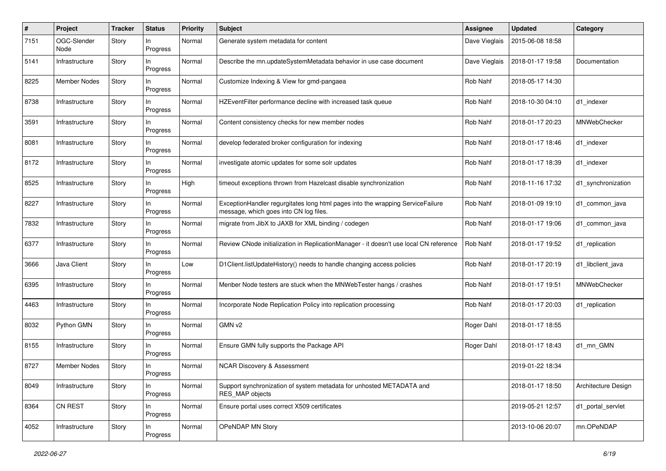| #    | Project             | <b>Tracker</b> | <b>Status</b>  | <b>Priority</b> | <b>Subject</b>                                                                                                           | <b>Assignee</b> | <b>Updated</b>   | Category            |
|------|---------------------|----------------|----------------|-----------------|--------------------------------------------------------------------------------------------------------------------------|-----------------|------------------|---------------------|
| 7151 | OGC-Slender<br>Node | Story          | In<br>Progress | Normal          | Generate system metadata for content                                                                                     | Dave Vieglais   | 2015-06-08 18:58 |                     |
| 5141 | Infrastructure      | Story          | In<br>Progress | Normal          | Describe the mn.updateSystemMetadata behavior in use case document                                                       | Dave Vieglais   | 2018-01-17 19:58 | Documentation       |
| 8225 | <b>Member Nodes</b> | Story          | In<br>Progress | Normal          | Customize Indexing & View for gmd-pangaea                                                                                | Rob Nahf        | 2018-05-17 14:30 |                     |
| 8738 | Infrastructure      | Story          | ln<br>Progress | Normal          | HZEventFilter performance decline with increased task queue                                                              | Rob Nahf        | 2018-10-30 04:10 | d1 indexer          |
| 3591 | Infrastructure      | Story          | In<br>Progress | Normal          | Content consistency checks for new member nodes                                                                          | Rob Nahf        | 2018-01-17 20:23 | MNWebChecker        |
| 8081 | Infrastructure      | Story          | In<br>Progress | Normal          | develop federated broker configuration for indexing                                                                      | Rob Nahf        | 2018-01-17 18:46 | d1 indexer          |
| 8172 | Infrastructure      | Story          | In<br>Progress | Normal          | investigate atomic updates for some solr updates                                                                         | Rob Nahf        | 2018-01-17 18:39 | d1_indexer          |
| 8525 | Infrastructure      | Story          | In<br>Progress | High            | timeout exceptions thrown from Hazelcast disable synchronization                                                         | Rob Nahf        | 2018-11-16 17:32 | d1 synchronization  |
| 8227 | Infrastructure      | Story          | In<br>Progress | Normal          | ExceptionHandler regurgitates long html pages into the wrapping ServiceFailure<br>message, which goes into CN log files. | Rob Nahf        | 2018-01-09 19:10 | d1 common java      |
| 7832 | Infrastructure      | Story          | In<br>Progress | Normal          | migrate from JibX to JAXB for XML binding / codegen                                                                      | Rob Nahf        | 2018-01-17 19:06 | d1_common_java      |
| 6377 | Infrastructure      | Story          | In<br>Progress | Normal          | Review CNode initialization in ReplicationManager - it doesn't use local CN reference                                    | Rob Nahf        | 2018-01-17 19:52 | d1_replication      |
| 3666 | Java Client         | Story          | In<br>Progress | Low             | D1Client.listUpdateHistory() needs to handle changing access policies                                                    | Rob Nahf        | 2018-01-17 20:19 | d1_libclient_java   |
| 6395 | Infrastructure      | Story          | In<br>Progress | Normal          | Menber Node testers are stuck when the MNWebTester hangs / crashes                                                       | Rob Nahf        | 2018-01-17 19:51 | MNWebChecker        |
| 4463 | Infrastructure      | Story          | In<br>Progress | Normal          | Incorporate Node Replication Policy into replication processing                                                          | Rob Nahf        | 2018-01-17 20:03 | d1_replication      |
| 8032 | Python GMN          | Story          | In<br>Progress | Normal          | GMN v2                                                                                                                   | Roger Dahl      | 2018-01-17 18:55 |                     |
| 8155 | Infrastructure      | Story          | In<br>Progress | Normal          | Ensure GMN fully supports the Package API                                                                                | Roger Dahl      | 2018-01-17 18:43 | d1 mn GMN           |
| 8727 | <b>Member Nodes</b> | Story          | In<br>Progress | Normal          | <b>NCAR Discovery &amp; Assessment</b>                                                                                   |                 | 2019-01-22 18:34 |                     |
| 8049 | Infrastructure      | Story          | In<br>Progress | Normal          | Support synchronization of system metadata for unhosted METADATA and<br><b>RES MAP objects</b>                           |                 | 2018-01-17 18:50 | Architecture Design |
| 8364 | CN REST             | Story          | In<br>Progress | Normal          | Ensure portal uses correct X509 certificates                                                                             |                 | 2019-05-21 12:57 | d1_portal_servlet   |
| 4052 | Infrastructure      | Story          | In<br>Progress | Normal          | OPeNDAP MN Story                                                                                                         |                 | 2013-10-06 20:07 | mn.OPeNDAP          |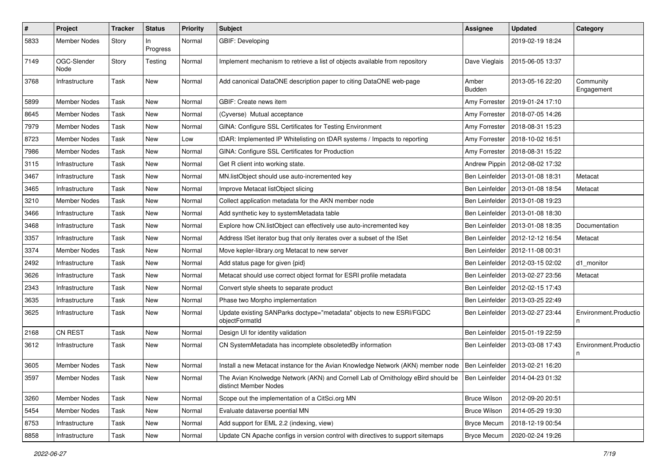| $\pmb{\#}$ | <b>Project</b>      | <b>Tracker</b> | <b>Status</b>  | <b>Priority</b> | <b>Subject</b>                                                                                                                                | <b>Assignee</b>        | <b>Updated</b>   | Category                   |
|------------|---------------------|----------------|----------------|-----------------|-----------------------------------------------------------------------------------------------------------------------------------------------|------------------------|------------------|----------------------------|
| 5833       | <b>Member Nodes</b> | Story          | In<br>Progress | Normal          | GBIF: Developing                                                                                                                              |                        | 2019-02-19 18:24 |                            |
| 7149       | OGC-Slender<br>Node | Story          | Testing        | Normal          | Implement mechanism to retrieve a list of objects available from repository                                                                   | Dave Vieglais          | 2015-06-05 13:37 |                            |
| 3768       | Infrastructure      | Task           | New            | Normal          | Add canonical DataONE description paper to citing DataONE web-page                                                                            | Amber<br><b>Budden</b> | 2013-05-16 22:20 | Community<br>Engagement    |
| 5899       | <b>Member Nodes</b> | Task           | <b>New</b>     | Normal          | GBIF: Create news item                                                                                                                        | Amy Forrester          | 2019-01-24 17:10 |                            |
| 8645       | <b>Member Nodes</b> | Task           | New            | Normal          | (Cyverse) Mutual acceptance                                                                                                                   | Amy Forrester          | 2018-07-05 14:26 |                            |
| 7979       | <b>Member Nodes</b> | Task           | New            | Normal          | GINA: Configure SSL Certificates for Testing Environment                                                                                      | Amy Forrester          | 2018-08-31 15:23 |                            |
| 8723       | <b>Member Nodes</b> | Task           | New            | Low             | tDAR: Implemented IP Whitelisting on tDAR systems / Impacts to reporting                                                                      | Amy Forrester          | 2018-10-02 16:51 |                            |
| 7986       | <b>Member Nodes</b> | Task           | New            | Normal          | GINA: Configure SSL Certificates for Production                                                                                               | Amy Forrester          | 2018-08-31 15:22 |                            |
| 3115       | Infrastructure      | Task           | <b>New</b>     | Normal          | Get R client into working state.                                                                                                              | <b>Andrew Pippin</b>   | 2012-08-02 17:32 |                            |
| 3467       | Infrastructure      | Task           | New            | Normal          | MN.listObject should use auto-incremented key                                                                                                 | Ben Leinfelder         | 2013-01-08 18:31 | Metacat                    |
| 3465       | Infrastructure      | Task           | New            | Normal          | Improve Metacat listObject slicing                                                                                                            | Ben Leinfelder         | 2013-01-08 18:54 | Metacat                    |
| 3210       | <b>Member Nodes</b> | Task           | New            | Normal          | Collect application metadata for the AKN member node                                                                                          | Ben Leinfelder         | 2013-01-08 19:23 |                            |
| 3466       | Infrastructure      | Task           | New            | Normal          | Add synthetic key to systemMetadata table                                                                                                     | Ben Leinfelder         | 2013-01-08 18:30 |                            |
| 3468       | Infrastructure      | Task           | New            | Normal          | Explore how CN.listObject can effectively use auto-incremented key                                                                            | Ben Leinfelder         | 2013-01-08 18:35 | Documentation              |
| 3357       | Infrastructure      | Task           | New            | Normal          | Address ISet iterator bug that only iterates over a subset of the ISet                                                                        | Ben Leinfelder         | 2012-12-12 16:54 | Metacat                    |
| 3374       | <b>Member Nodes</b> | Task           | New            | Normal          | Move kepler-library.org Metacat to new server                                                                                                 | Ben Leinfelder         | 2012-11-08 00:31 |                            |
| 2492       | Infrastructure      | Task           | <b>New</b>     | Normal          | Add status page for given {pid}                                                                                                               | Ben Leinfelder         | 2012-03-15 02:02 | d1 monitor                 |
| 3626       | Infrastructure      | Task           | New            | Normal          | Metacat should use correct object format for ESRI profile metadata                                                                            | Ben Leinfelder         | 2013-02-27 23:56 | Metacat                    |
| 2343       | Infrastructure      | Task           | New            | Normal          | Convert style sheets to separate product                                                                                                      | Ben Leinfelder         | 2012-02-15 17:43 |                            |
| 3635       | Infrastructure      | Task           | New            | Normal          | Phase two Morpho implementation                                                                                                               | Ben Leinfelder         | 2013-03-25 22:49 |                            |
| 3625       | Infrastructure      | Task           | New            | Normal          | Update existing SANParks doctype="metadata" objects to new ESRI/FGDC<br>objectFormatId                                                        | Ben Leinfelder         | 2013-02-27 23:44 | Environment.Productio<br>n |
| 2168       | <b>CN REST</b>      | Task           | New            | Normal          | Design UI for identity validation                                                                                                             | Ben Leinfelder         | 2015-01-19 22:59 |                            |
| 3612       | Infrastructure      | Task           | New            | Normal          | CN SystemMetadata has incomplete obsoletedBy information                                                                                      | Ben Leinfelder         | 2013-03-08 17:43 | Environment.Productio      |
| 3605       | <b>Member Nodes</b> | Task           | New            | Normal          | Install a new Metacat instance for the Avian Knowledge Network (AKN) member node   Ben Leinfelder   2013-02-21 16:20                          |                        |                  |                            |
| 3597       | Member Nodes        | Task           | New            | Normal          | The Avian Knolwedge Network (AKN) and Cornell Lab of Ornithology eBird should be   Ben Leinfelder   2014-04-23 01:32<br>distinct Member Nodes |                        |                  |                            |
| 3260       | <b>Member Nodes</b> | Task           | New            | Normal          | Scope out the implementation of a CitSci.org MN                                                                                               | <b>Bruce Wilson</b>    | 2012-09-20 20:51 |                            |
| 5454       | <b>Member Nodes</b> | Task           | New            | Normal          | Evaluate dataverse poential MN                                                                                                                | <b>Bruce Wilson</b>    | 2014-05-29 19:30 |                            |
| 8753       | Infrastructure      | Task           | New            | Normal          | Add support for EML 2.2 (indexing, view)                                                                                                      | <b>Bryce Mecum</b>     | 2018-12-19 00:54 |                            |
| 8858       | Infrastructure      | Task           | New            | Normal          | Update CN Apache configs in version control with directives to support sitemaps                                                               | <b>Bryce Mecum</b>     | 2020-02-24 19:26 |                            |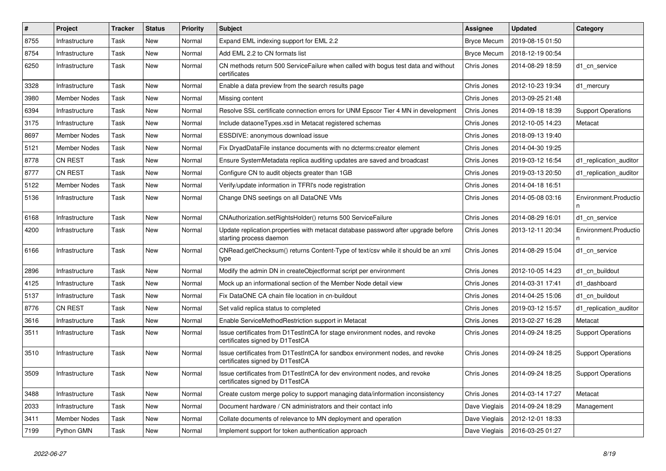| $\vert$ # | Project             | <b>Tracker</b> | <b>Status</b> | <b>Priority</b> | Subject                                                                                                          | <b>Assignee</b>    | <b>Updated</b>   | Category                  |
|-----------|---------------------|----------------|---------------|-----------------|------------------------------------------------------------------------------------------------------------------|--------------------|------------------|---------------------------|
| 8755      | Infrastructure      | Task           | <b>New</b>    | Normal          | Expand EML indexing support for EML 2.2                                                                          | <b>Bryce Mecum</b> | 2019-08-15 01:50 |                           |
| 8754      | Infrastructure      | Task           | <b>New</b>    | Normal          | Add EML 2.2 to CN formats list                                                                                   | <b>Bryce Mecum</b> | 2018-12-19 00:54 |                           |
| 6250      | Infrastructure      | Task           | <b>New</b>    | Normal          | CN methods return 500 ServiceFailure when called with bogus test data and without<br>certificates                | Chris Jones        | 2014-08-29 18:59 | d1 cn service             |
| 3328      | Infrastructure      | Task           | <b>New</b>    | Normal          | Enable a data preview from the search results page                                                               | Chris Jones        | 2012-10-23 19:34 | d1_mercury                |
| 3980      | <b>Member Nodes</b> | Task           | <b>New</b>    | Normal          | Missing content                                                                                                  | Chris Jones        | 2013-09-25 21:48 |                           |
| 6394      | Infrastructure      | Task           | <b>New</b>    | Normal          | Resolve SSL certificate connection errors for UNM Epscor Tier 4 MN in development                                | Chris Jones        | 2014-09-18 18:39 | <b>Support Operations</b> |
| 3175      | Infrastructure      | Task           | New           | Normal          | Include dataoneTypes.xsd in Metacat registered schemas                                                           | Chris Jones        | 2012-10-05 14:23 | Metacat                   |
| 8697      | <b>Member Nodes</b> | Task           | <b>New</b>    | Normal          | ESSDIVE: anonymous download issue                                                                                | Chris Jones        | 2018-09-13 19:40 |                           |
| 5121      | <b>Member Nodes</b> | Task           | <b>New</b>    | Normal          | Fix DryadDataFile instance documents with no dcterms:creator element                                             | Chris Jones        | 2014-04-30 19:25 |                           |
| 8778      | <b>CN REST</b>      | Task           | <b>New</b>    | Normal          | Ensure SystemMetadata replica auditing updates are saved and broadcast                                           | Chris Jones        | 2019-03-12 16:54 | d1 replication auditor    |
| 8777      | <b>CN REST</b>      | Task           | <b>New</b>    | Normal          | Configure CN to audit objects greater than 1GB                                                                   | Chris Jones        | 2019-03-13 20:50 | d1_replication_auditor    |
| 5122      | <b>Member Nodes</b> | Task           | <b>New</b>    | Normal          | Verify/update information in TFRI's node registration                                                            | Chris Jones        | 2014-04-18 16:51 |                           |
| 5136      | Infrastructure      | Task           | New           | Normal          | Change DNS seetings on all DataONE VMs                                                                           | Chris Jones        | 2014-05-08 03:16 | Environment.Productio     |
| 6168      | Infrastructure      | Task           | New           | Normal          | CNAuthorization.setRightsHolder() returns 500 ServiceFailure                                                     | Chris Jones        | 2014-08-29 16:01 | d1 cn service             |
| 4200      | Infrastructure      | Task           | New           | Normal          | Update replication.properties with metacat database password after upgrade before<br>starting process daemon     | Chris Jones        | 2013-12-11 20:34 | Environment.Productio     |
| 6166      | Infrastructure      | Task           | <b>New</b>    | Normal          | CNRead.getChecksum() returns Content-Type of text/csv while it should be an xml<br>type                          | Chris Jones        | 2014-08-29 15:04 | d1_cn_service             |
| 2896      | Infrastructure      | Task           | <b>New</b>    | Normal          | Modify the admin DN in createObjectformat script per environment                                                 | Chris Jones        | 2012-10-05 14:23 | d1 cn buildout            |
| 4125      | Infrastructure      | Task           | New           | Normal          | Mock up an informational section of the Member Node detail view                                                  | Chris Jones        | 2014-03-31 17:41 | d1 dashboard              |
| 5137      | Infrastructure      | Task           | <b>New</b>    | Normal          | Fix DataONE CA chain file location in cn-buildout                                                                | Chris Jones        | 2014-04-25 15:06 | d1_cn_buildout            |
| 8776      | <b>CN REST</b>      | Task           | New           | Normal          | Set valid replica status to completed                                                                            | Chris Jones        | 2019-03-12 15:57 | d1_replication_auditor    |
| 3616      | Infrastructure      | Task           | New           | Normal          | Enable ServiceMethodRestriction support in Metacat                                                               | Chris Jones        | 2013-02-27 16:28 | Metacat                   |
| 3511      | Infrastructure      | Task           | <b>New</b>    | Normal          | Issue certificates from D1TestIntCA for stage environment nodes, and revoke<br>certificates signed by D1TestCA   | Chris Jones        | 2014-09-24 18:25 | <b>Support Operations</b> |
| 3510      | Infrastructure      | Task           | New           | Normal          | Issue certificates from D1TestIntCA for sandbox environment nodes, and revoke<br>certificates signed by D1TestCA | Chris Jones        | 2014-09-24 18:25 | <b>Support Operations</b> |
| 3509      | Infrastructure      | Task           | New           | Normal          | Issue certificates from D1TestIntCA for dev environment nodes, and revoke<br>certificates signed by D1TestCA     | Chris Jones        | 2014-09-24 18:25 | <b>Support Operations</b> |
| 3488      | Infrastructure      | Task           | <b>New</b>    | Normal          | Create custom merge policy to support managing data/information inconsistency                                    | Chris Jones        | 2014-03-14 17:27 | Metacat                   |
| 2033      | Infrastructure      | Task           | <b>New</b>    | Normal          | Document hardware / CN administrators and their contact info                                                     | Dave Vieglais      | 2014-09-24 18:29 | Management                |
| 3411      | Member Nodes        | Task           | New           | Normal          | Collate documents of relevance to MN deployment and operation                                                    | Dave Vieglais      | 2012-12-01 18:33 |                           |
| 7199      | Python GMN          | Task           | New           | Normal          | Implement support for token authentication approach                                                              | Dave Vieglais      | 2016-03-25 01:27 |                           |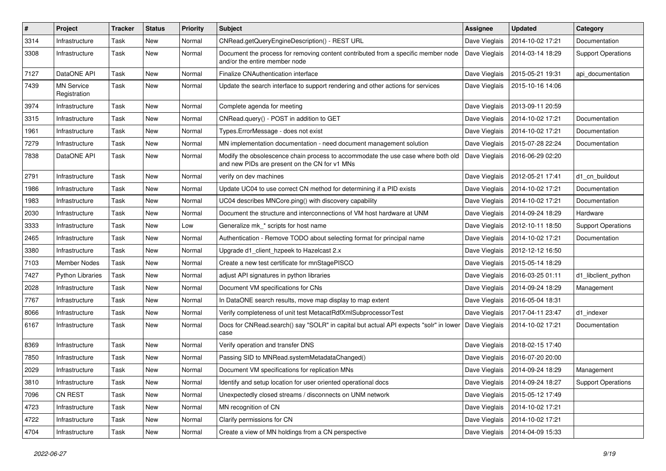| #    | Project                           | <b>Tracker</b> | <b>Status</b> | <b>Priority</b> | <b>Subject</b>                                                                                                                    | <b>Assignee</b> | <b>Updated</b>   | Category                  |
|------|-----------------------------------|----------------|---------------|-----------------|-----------------------------------------------------------------------------------------------------------------------------------|-----------------|------------------|---------------------------|
| 3314 | Infrastructure                    | Task           | <b>New</b>    | Normal          | CNRead.getQueryEngineDescription() - REST URL                                                                                     | Dave Vieglais   | 2014-10-02 17:21 | Documentation             |
| 3308 | Infrastructure                    | Task           | <b>New</b>    | Normal          | Document the process for removing content contributed from a specific member node<br>and/or the entire member node                | Dave Vieglais   | 2014-03-14 18:29 | <b>Support Operations</b> |
| 7127 | DataONE API                       | Task           | <b>New</b>    | Normal          | Finalize CNAuthentication interface                                                                                               | Dave Vieglais   | 2015-05-21 19:31 | api documentation         |
| 7439 | <b>MN Service</b><br>Registration | Task           | <b>New</b>    | Normal          | Update the search interface to support rendering and other actions for services                                                   | Dave Vieglais   | 2015-10-16 14:06 |                           |
| 3974 | Infrastructure                    | Task           | <b>New</b>    | Normal          | Complete agenda for meeting                                                                                                       | Dave Vieglais   | 2013-09-11 20:59 |                           |
| 3315 | Infrastructure                    | Task           | <b>New</b>    | Normal          | CNRead.query() - POST in addition to GET                                                                                          | Dave Vieglais   | 2014-10-02 17:21 | Documentation             |
| 1961 | Infrastructure                    | Task           | New           | Normal          | Types.ErrorMessage - does not exist                                                                                               | Dave Vieglais   | 2014-10-02 17:21 | Documentation             |
| 7279 | Infrastructure                    | Task           | <b>New</b>    | Normal          | MN implementation documentation - need document management solution                                                               | Dave Vieglais   | 2015-07-28 22:24 | Documentation             |
| 7838 | DataONE API                       | Task           | New           | Normal          | Modify the obsolescence chain process to accommodate the use case where both old<br>and new PIDs are present on the CN for v1 MNs | Dave Vieglais   | 2016-06-29 02:20 |                           |
| 2791 | Infrastructure                    | Task           | <b>New</b>    | Normal          | verify on dev machines                                                                                                            | Dave Vieglais   | 2012-05-21 17:41 | d1 cn buildout            |
| 1986 | Infrastructure                    | Task           | New           | Normal          | Update UC04 to use correct CN method for determining if a PID exists                                                              | Dave Vieglais   | 2014-10-02 17:21 | Documentation             |
| 1983 | Infrastructure                    | Task           | New           | Normal          | UC04 describes MNCore.ping() with discovery capability                                                                            | Dave Vieglais   | 2014-10-02 17:21 | Documentation             |
| 2030 | Infrastructure                    | Task           | New           | Normal          | Document the structure and interconnections of VM host hardware at UNM                                                            | Dave Vieglais   | 2014-09-24 18:29 | Hardware                  |
| 3333 | Infrastructure                    | Task           | New           | Low             | Generalize mk * scripts for host name                                                                                             | Dave Vieglais   | 2012-10-11 18:50 | <b>Support Operations</b> |
| 2465 | Infrastructure                    | Task           | <b>New</b>    | Normal          | Authentication - Remove TODO about selecting format for principal name                                                            | Dave Vieglais   | 2014-10-02 17:21 | Documentation             |
| 3380 | Infrastructure                    | Task           | <b>New</b>    | Normal          | Upgrade d1 client hzpeek to Hazelcast 2.x                                                                                         | Dave Vieglais   | 2012-12-12 16:50 |                           |
| 7103 | <b>Member Nodes</b>               | Task           | New           | Normal          | Create a new test certificate for mnStagePISCO                                                                                    | Dave Vieglais   | 2015-05-14 18:29 |                           |
| 7427 | <b>Python Libraries</b>           | Task           | New           | Normal          | adjust API signatures in python libraries                                                                                         | Dave Vieglais   | 2016-03-25 01:11 | d1_libclient_python       |
| 2028 | Infrastructure                    | Task           | New           | Normal          | Document VM specifications for CNs                                                                                                | Dave Vieglais   | 2014-09-24 18:29 | Management                |
| 7767 | Infrastructure                    | Task           | <b>New</b>    | Normal          | In DataONE search results, move map display to map extent                                                                         | Dave Vieglais   | 2016-05-04 18:31 |                           |
| 8066 | Infrastructure                    | Task           | New           | Normal          | Verify completeness of unit test MetacatRdfXmlSubprocessorTest                                                                    | Dave Vieglais   | 2017-04-11 23:47 | d1 indexer                |
| 6167 | Infrastructure                    | Task           | New           | Normal          | Docs for CNRead.search() say "SOLR" in capital but actual API expects "solr" in lower<br>case                                     | Dave Vieglais   | 2014-10-02 17:21 | Documentation             |
| 8369 | Infrastructure                    | Task           | <b>New</b>    | Normal          | Verify operation and transfer DNS                                                                                                 | Dave Vieglais   | 2018-02-15 17:40 |                           |
| 7850 | Infrastructure                    | Task           | <b>New</b>    | Normal          | Passing SID to MNRead.systemMetadataChanged()                                                                                     | Dave Vieglais   | 2016-07-20 20:00 |                           |
| 2029 | Infrastructure                    | Task           | New           | Normal          | Document VM specifications for replication MNs                                                                                    | Dave Vieglais   | 2014-09-24 18:29 | Management                |
| 3810 | Infrastructure                    | Task           | New           | Normal          | Identify and setup location for user oriented operational docs                                                                    | Dave Vieglais   | 2014-09-24 18:27 | <b>Support Operations</b> |
| 7096 | CN REST                           | Task           | New           | Normal          | Unexpectedly closed streams / disconnects on UNM network                                                                          | Dave Vieglais   | 2015-05-12 17:49 |                           |
| 4723 | Infrastructure                    | Task           | New           | Normal          | MN recognition of CN                                                                                                              | Dave Vieglais   | 2014-10-02 17:21 |                           |
| 4722 | Infrastructure                    | Task           | New           | Normal          | Clarify permissions for CN                                                                                                        | Dave Vieglais   | 2014-10-02 17:21 |                           |
| 4704 | Infrastructure                    | Task           | New           | Normal          | Create a view of MN holdings from a CN perspective                                                                                | Dave Vieglais   | 2014-04-09 15:33 |                           |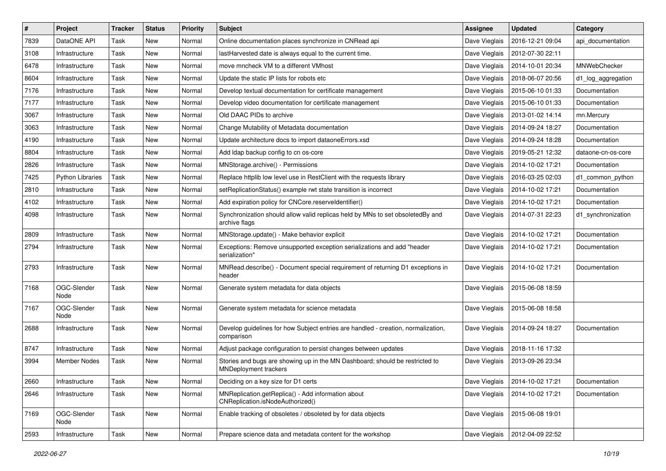| $\#$ | Project                 | <b>Tracker</b> | <b>Status</b> | <b>Priority</b> | <b>Subject</b>                                                                                               | <b>Assignee</b> | <b>Updated</b>   | Category           |
|------|-------------------------|----------------|---------------|-----------------|--------------------------------------------------------------------------------------------------------------|-----------------|------------------|--------------------|
| 7839 | DataONE API             | Task           | New           | Normal          | Online documentation places synchronize in CNRead api                                                        | Dave Vieglais   | 2016-12-21 09:04 | api documentation  |
| 3108 | Infrastructure          | Task           | <b>New</b>    | Normal          | lastHarvested date is always equal to the current time.                                                      | Dave Vieglais   | 2012-07-30 22:11 |                    |
| 6478 | Infrastructure          | Task           | New           | Normal          | move mncheck VM to a different VMhost                                                                        | Dave Vieglais   | 2014-10-01 20:34 | MNWebChecker       |
| 8604 | Infrastructure          | Task           | New           | Normal          | Update the static IP lists for robots etc                                                                    | Dave Vieglais   | 2018-06-07 20:56 | d1_log_aggregation |
| 7176 | Infrastructure          | Task           | <b>New</b>    | Normal          | Develop textual documentation for certificate management                                                     | Dave Vieglais   | 2015-06-10 01:33 | Documentation      |
| 7177 | Infrastructure          | Task           | New           | Normal          | Develop video documentation for certificate management                                                       | Dave Vieglais   | 2015-06-10 01:33 | Documentation      |
| 3067 | Infrastructure          | Task           | <b>New</b>    | Normal          | Old DAAC PIDs to archive                                                                                     | Dave Vieglais   | 2013-01-02 14:14 | mn.Mercury         |
| 3063 | Infrastructure          | Task           | New           | Normal          | Change Mutability of Metadata documentation                                                                  | Dave Vieglais   | 2014-09-24 18:27 | Documentation      |
| 4190 | Infrastructure          | Task           | New           | Normal          | Update architecture docs to import dataoneErrors.xsd                                                         | Dave Vieglais   | 2014-09-24 18:28 | Documentation      |
| 8804 | Infrastructure          | Task           | New           | Normal          | Add Idap backup config to cn os-core                                                                         | Dave Vieglais   | 2019-05-21 12:32 | dataone-cn-os-core |
| 2826 | Infrastructure          | Task           | New           | Normal          | MNStorage.archive() - Permissions                                                                            | Dave Vieglais   | 2014-10-02 17:21 | Documentation      |
| 7425 | <b>Python Libraries</b> | Task           | New           | Normal          | Replace httplib low level use in RestClient with the requests library                                        | Dave Vieglais   | 2016-03-25 02:03 | d1 common python   |
| 2810 | Infrastructure          | Task           | New           | Normal          | setReplicationStatus() example rwt state transition is incorrect                                             | Dave Vieglais   | 2014-10-02 17:21 | Documentation      |
| 4102 | Infrastructure          | Task           | New           | Normal          | Add expiration policy for CNCore.reserveldentifier()                                                         | Dave Vieglais   | 2014-10-02 17:21 | Documentation      |
| 4098 | Infrastructure          | Task           | New           | Normal          | Synchronization should allow valid replicas held by MNs to set obsoletedBy and<br>archive flags              | Dave Vieglais   | 2014-07-31 22:23 | d1_synchronization |
| 2809 | Infrastructure          | Task           | New           | Normal          | MNStorage.update() - Make behavior explicit                                                                  | Dave Vieglais   | 2014-10-02 17:21 | Documentation      |
| 2794 | Infrastructure          | Task           | New           | Normal          | Exceptions: Remove unsupported exception serializations and add "header<br>serialization"                    | Dave Vieglais   | 2014-10-02 17:21 | Documentation      |
| 2793 | Infrastructure          | Task           | New           | Normal          | MNRead.describe() - Document special requirement of returning D1 exceptions in<br>header                     | Dave Vieglais   | 2014-10-02 17:21 | Documentation      |
| 7168 | OGC-Slender<br>Node     | Task           | New           | Normal          | Generate system metadata for data objects                                                                    | Dave Vieglais   | 2015-06-08 18:59 |                    |
| 7167 | OGC-Slender<br>Node     | Task           | New           | Normal          | Generate system metadata for science metadata                                                                | Dave Vieglais   | 2015-06-08 18:58 |                    |
| 2688 | Infrastructure          | Task           | New           | Normal          | Develop guidelines for how Subject entries are handled - creation, normalization,<br>comparison              | Dave Vieglais   | 2014-09-24 18:27 | Documentation      |
| 8747 | Infrastructure          | Task           | New           | Normal          | Adjust package configuration to persist changes between updates                                              | Dave Vieglais   | 2018-11-16 17:32 |                    |
| 3994 | <b>Member Nodes</b>     | Task           | New           | Normal          | Stories and bugs are showing up in the MN Dashboard; should be restricted to<br><b>MNDeployment trackers</b> | Dave Vieglais   | 2013-09-26 23:34 |                    |
| 2660 | Infrastructure          | Task           | New           | Normal          | Deciding on a key size for D1 certs                                                                          | Dave Vieglais   | 2014-10-02 17:21 | Documentation      |
| 2646 | Infrastructure          | Task           | New           | Normal          | MNReplication.getReplica() - Add information about<br>CNReplication.isNodeAuthorized()                       | Dave Vieglais   | 2014-10-02 17:21 | Documentation      |
| 7169 | OGC-Slender<br>Node     | Task           | New           | Normal          | Enable tracking of obsoletes / obsoleted by for data objects                                                 | Dave Vieglais   | 2015-06-08 19:01 |                    |
| 2593 | Infrastructure          | Task           | New           | Normal          | Prepare science data and metadata content for the workshop                                                   | Dave Vieglais   | 2012-04-09 22:52 |                    |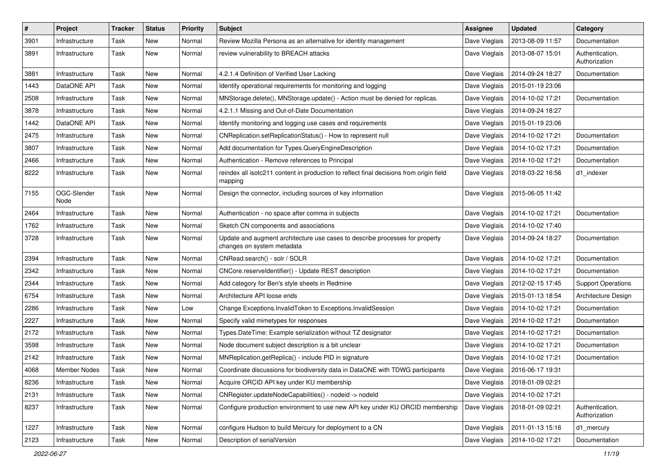| #    | Project             | <b>Tracker</b> | <b>Status</b> | <b>Priority</b> | <b>Subject</b>                                                                                             | Assignee      | Updated          | Category                         |
|------|---------------------|----------------|---------------|-----------------|------------------------------------------------------------------------------------------------------------|---------------|------------------|----------------------------------|
| 3901 | Infrastructure      | Task           | <b>New</b>    | Normal          | Review Mozilla Persona as an alternative for identity management                                           | Dave Vieglais | 2013-08-09 11:57 | Documentation                    |
| 3891 | Infrastructure      | Task           | <b>New</b>    | Normal          | review vulnerability to BREACH attacks                                                                     | Dave Vieglais | 2013-08-07 15:01 | Authentication,<br>Authorization |
| 3881 | Infrastructure      | Task           | <b>New</b>    | Normal          | 4.2.1.4 Definition of Verified User Lacking                                                                | Dave Vieglais | 2014-09-24 18:27 | Documentation                    |
| 1443 | DataONE API         | Task           | <b>New</b>    | Normal          | Identify operational requirements for monitoring and logging                                               | Dave Vieglais | 2015-01-19 23:06 |                                  |
| 2508 | Infrastructure      | Task           | New           | Normal          | MNStorage.delete(), MNStorage.update() - Action must be denied for replicas.                               | Dave Vieglais | 2014-10-02 17:21 | Documentation                    |
| 3878 | Infrastructure      | Task           | <b>New</b>    | Normal          | 4.2.1.1 Missing and Out-of-Date Documentation                                                              | Dave Vieglais | 2014-09-24 18:27 |                                  |
| 1442 | DataONE API         | Task           | New           | Normal          | Identify monitoring and logging use cases and requirements                                                 | Dave Vieglais | 2015-01-19 23:06 |                                  |
| 2475 | Infrastructure      | Task           | <b>New</b>    | Normal          | CNReplication.setReplicationStatus() - How to represent null                                               | Dave Vieglais | 2014-10-02 17:21 | Documentation                    |
| 3807 | Infrastructure      | Task           | <b>New</b>    | Normal          | Add documentation for Types.QueryEngineDescription                                                         | Dave Vieglais | 2014-10-02 17:21 | Documentation                    |
| 2466 | Infrastructure      | Task           | New           | Normal          | Authentication - Remove references to Principal                                                            | Dave Vieglais | 2014-10-02 17:21 | Documentation                    |
| 8222 | Infrastructure      | Task           | New           | Normal          | reindex all isotc211 content in production to reflect final decisions from origin field<br>mapping         | Dave Vieglais | 2018-03-22 16:56 | d1 indexer                       |
| 7155 | OGC-Slender<br>Node | Task           | <b>New</b>    | Normal          | Design the connector, including sources of key information                                                 | Dave Vieglais | 2015-06-05 11:42 |                                  |
| 2464 | Infrastructure      | Task           | New           | Normal          | Authentication - no space after comma in subjects                                                          | Dave Vieglais | 2014-10-02 17:21 | Documentation                    |
| 1762 | Infrastructure      | Task           | <b>New</b>    | Normal          | Sketch CN components and associations                                                                      | Dave Vieglais | 2014-10-02 17:40 |                                  |
| 3728 | Infrastructure      | Task           | <b>New</b>    | Normal          | Update and augment architecture use cases to describe processes for property<br>changes on system metadata | Dave Vieglais | 2014-09-24 18:27 | Documentation                    |
| 2394 | Infrastructure      | Task           | <b>New</b>    | Normal          | CNRead.search() - solr / SOLR                                                                              | Dave Vieglais | 2014-10-02 17:21 | Documentation                    |
| 2342 | Infrastructure      | Task           | <b>New</b>    | Normal          | CNCore.reserveldentifier() - Update REST description                                                       | Dave Vieglais | 2014-10-02 17:21 | Documentation                    |
| 2344 | Infrastructure      | Task           | New           | Normal          | Add category for Ben's style sheets in Redmine                                                             | Dave Vieglais | 2012-02-15 17:45 | <b>Support Operations</b>        |
| 6754 | Infrastructure      | Task           | <b>New</b>    | Normal          | Architecture API loose ends                                                                                | Dave Vieglais | 2015-01-13 18:54 | Architecture Design              |
| 2286 | Infrastructure      | Task           | New           | Low             | Change Exceptions. Invalid Token to Exceptions. Invalid Session                                            | Dave Vieglais | 2014-10-02 17:21 | Documentation                    |
| 2227 | Infrastructure      | Task           | <b>New</b>    | Normal          | Specify valid mimetypes for responses                                                                      | Dave Vieglais | 2014-10-02 17:21 | Documentation                    |
| 2172 | Infrastructure      | Task           | <b>New</b>    | Normal          | Types.DateTime: Example serialization without TZ designator                                                | Dave Vieglais | 2014-10-02 17:21 | Documentation                    |
| 3598 | Infrastructure      | Task           | New           | Normal          | Node document subject description is a bit unclear                                                         | Dave Vieglais | 2014-10-02 17:21 | <b>Documentation</b>             |
| 2142 | Infrastructure      | Task           | <b>New</b>    | Normal          | MNReplication.getReplica() - include PID in signature                                                      | Dave Vieglais | 2014-10-02 17:21 | Documentation                    |
| 4068 | <b>Member Nodes</b> | Task           | New           | Normal          | Coordinate discussions for biodiversity data in DataONE with TDWG participants                             | Dave Vieglais | 2016-06-17 19:31 |                                  |
| 8236 | Infrastructure      | Task           | New           | Normal          | Acquire ORCID API key under KU membership                                                                  | Dave Vieglais | 2018-01-09 02:21 |                                  |
| 2131 | Infrastructure      | Task           | <b>New</b>    | Normal          | CNRegister.updateNodeCapabilities() - nodeid -> nodeld                                                     | Dave Vieglais | 2014-10-02 17:21 |                                  |
| 8237 | Infrastructure      | Task           | New           | Normal          | Configure production environment to use new API key under KU ORCID membership                              | Dave Vieglais | 2018-01-09 02:21 | Authentication,<br>Authorization |
| 1227 | Infrastructure      | Task           | <b>New</b>    | Normal          | configure Hudson to build Mercury for deployment to a CN                                                   | Dave Vieglais | 2011-01-13 15:16 | d1_mercury                       |
| 2123 | Infrastructure      | Task           | New           | Normal          | Description of serialVersion                                                                               | Dave Vieglais | 2014-10-02 17:21 | Documentation                    |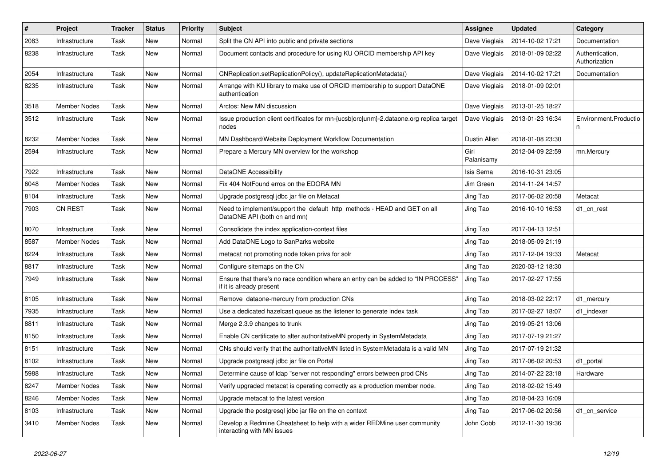| $\pmb{\#}$ | Project             | <b>Tracker</b> | <b>Status</b> | <b>Priority</b> | Subject                                                                                                       | <b>Assignee</b>    | <b>Updated</b>   | Category                         |
|------------|---------------------|----------------|---------------|-----------------|---------------------------------------------------------------------------------------------------------------|--------------------|------------------|----------------------------------|
| 2083       | Infrastructure      | Task           | New           | Normal          | Split the CN API into public and private sections                                                             | Dave Vieglais      | 2014-10-02 17:21 | Documentation                    |
| 8238       | Infrastructure      | Task           | <b>New</b>    | Normal          | Document contacts and procedure for using KU ORCID membership API key                                         | Dave Vieglais      | 2018-01-09 02:22 | Authentication,<br>Authorization |
| 2054       | Infrastructure      | Task           | New           | Normal          | CNReplication.setReplicationPolicy(), updateReplicationMetadata()                                             | Dave Vieglais      | 2014-10-02 17:21 | Documentation                    |
| 8235       | Infrastructure      | Task           | <b>New</b>    | Normal          | Arrange with KU library to make use of ORCID membership to support DataONE<br>authentication                  | Dave Vieglais      | 2018-01-09 02:01 |                                  |
| 3518       | <b>Member Nodes</b> | Task           | <b>New</b>    | Normal          | Arctos: New MN discussion                                                                                     | Dave Vieglais      | 2013-01-25 18:27 |                                  |
| 3512       | Infrastructure      | Task           | New           | Normal          | Issue production client certificates for mn-{ucsb orc unm}-2.dataone.org replica target<br>nodes              | Dave Vieglais      | 2013-01-23 16:34 | Environment.Productio<br>n       |
| 8232       | <b>Member Nodes</b> | Task           | <b>New</b>    | Normal          | MN Dashboard/Website Deployment Workflow Documentation                                                        | Dustin Allen       | 2018-01-08 23:30 |                                  |
| 2594       | Infrastructure      | Task           | <b>New</b>    | Normal          | Prepare a Mercury MN overview for the workshop                                                                | Giri<br>Palanisamy | 2012-04-09 22:59 | mn.Mercury                       |
| 7922       | Infrastructure      | Task           | <b>New</b>    | Normal          | DataONE Accessibility                                                                                         | Isis Serna         | 2016-10-31 23:05 |                                  |
| 6048       | <b>Member Nodes</b> | Task           | <b>New</b>    | Normal          | Fix 404 NotFound erros on the EDORA MN                                                                        | Jim Green          | 2014-11-24 14:57 |                                  |
| 8104       | Infrastructure      | Task           | <b>New</b>    | Normal          | Upgrade postgresql jdbc jar file on Metacat                                                                   | Jing Tao           | 2017-06-02 20:58 | Metacat                          |
| 7903       | <b>CN REST</b>      | Task           | New           | Normal          | Need to implement/support the default http methods - HEAD and GET on all<br>DataONE API (both cn and mn)      | Jing Tao           | 2016-10-10 16:53 | d1 cn rest                       |
| 8070       | Infrastructure      | Task           | <b>New</b>    | Normal          | Consolidate the index application-context files                                                               | Jing Tao           | 2017-04-13 12:51 |                                  |
| 8587       | <b>Member Nodes</b> | Task           | <b>New</b>    | Normal          | Add DataONE Logo to SanParks website                                                                          | Jing Tao           | 2018-05-09 21:19 |                                  |
| 8224       | Infrastructure      | Task           | New           | Normal          | metacat not promoting node token privs for solr                                                               | Jing Tao           | 2017-12-04 19:33 | Metacat                          |
| 8817       | Infrastructure      | Task           | <b>New</b>    | Normal          | Configure sitemaps on the CN                                                                                  | Jing Tao           | 2020-03-12 18:30 |                                  |
| 7949       | Infrastructure      | Task           | New           | Normal          | Ensure that there's no race condition where an entry can be added to "IN PROCESS"<br>if it is already present | Jing Tao           | 2017-02-27 17:55 |                                  |
| 8105       | Infrastructure      | Task           | <b>New</b>    | Normal          | Remove dataone-mercury from production CNs                                                                    | Jing Tao           | 2018-03-02 22:17 | d1_mercury                       |
| 7935       | Infrastructure      | Task           | New           | Normal          | Use a dedicated hazelcast queue as the listener to generate index task                                        | Jing Tao           | 2017-02-27 18:07 | d1 indexer                       |
| 8811       | Infrastructure      | Task           | <b>New</b>    | Normal          | Merge 2.3.9 changes to trunk                                                                                  | Jing Tao           | 2019-05-21 13:06 |                                  |
| 8150       | Infrastructure      | Task           | <b>New</b>    | Normal          | Enable CN certificate to alter authoritativeMN property in SystemMetadata                                     | Jing Tao           | 2017-07-19 21:27 |                                  |
| 8151       | Infrastructure      | Task           | New           | Normal          | CNs should verify that the authoritativeMN listed in SystemMetadata is a valid MN                             | Jing Tao           | 2017-07-19 21:32 |                                  |
| 8102       | Infrastructure      | Task           | <b>New</b>    | Normal          | Upgrade postgresql jdbc jar file on Portal                                                                    | Jing Tao           | 2017-06-02 20:53 | d1_portal                        |
| 5988       | Infrastructure      | Task           | New           | Normal          | Determine cause of Idap "server not responding" errors between prod CNs                                       | Jing Tao           | 2014-07-22 23:18 | Hardware                         |
| 8247       | Member Nodes        | Task           | New           | Normal          | Verify upgraded metacat is operating correctly as a production member node.                                   | Jing Tao           | 2018-02-02 15:49 |                                  |
| 8246       | Member Nodes        | Task           | New           | Normal          | Upgrade metacat to the latest version                                                                         | Jing Tao           | 2018-04-23 16:09 |                                  |
| 8103       | Infrastructure      | Task           | New           | Normal          | Upgrade the postgresql jdbc jar file on the cn context                                                        | Jing Tao           | 2017-06-02 20:56 | d1_cn_service                    |
| 3410       | Member Nodes        | Task           | New           | Normal          | Develop a Redmine Cheatsheet to help with a wider REDMine user community<br>interacting with MN issues        | John Cobb          | 2012-11-30 19:36 |                                  |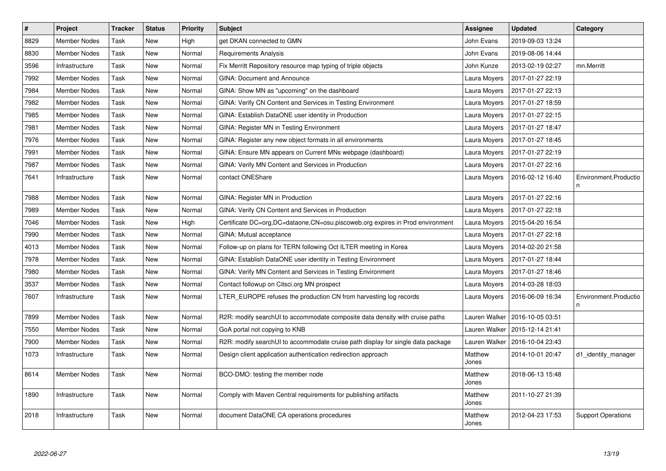| $\sharp$ | Project             | <b>Tracker</b> | <b>Status</b> | <b>Priority</b> | <b>Subject</b>                                                                  | <b>Assignee</b>  | <b>Updated</b>   | Category                    |
|----------|---------------------|----------------|---------------|-----------------|---------------------------------------------------------------------------------|------------------|------------------|-----------------------------|
| 8829     | <b>Member Nodes</b> | Task           | <b>New</b>    | High            | get DKAN connected to GMN                                                       | John Evans       | 2019-09-03 13:24 |                             |
| 8830     | <b>Member Nodes</b> | Task           | <b>New</b>    | Normal          | Requirements Analysis                                                           | John Evans       | 2019-08-06 14:44 |                             |
| 3596     | Infrastructure      | Task           | New           | Normal          | Fix Merritt Repository resource map typing of triple objects                    | John Kunze       | 2013-02-19 02:27 | mn.Merritt                  |
| 7992     | <b>Member Nodes</b> | Task           | <b>New</b>    | Normal          | <b>GINA: Document and Announce</b>                                              | Laura Moyers     | 2017-01-27 22:19 |                             |
| 7984     | <b>Member Nodes</b> | Task           | <b>New</b>    | Normal          | GINA: Show MN as "upcoming" on the dashboard                                    | Laura Moyers     | 2017-01-27 22:13 |                             |
| 7982     | Member Nodes        | Task           | <b>New</b>    | Normal          | GINA: Verify CN Content and Services in Testing Environment                     | Laura Moyers     | 2017-01-27 18:59 |                             |
| 7985     | <b>Member Nodes</b> | Task           | <b>New</b>    | Normal          | GINA: Establish DataONE user identity in Production                             | Laura Moyers     | 2017-01-27 22:15 |                             |
| 7981     | <b>Member Nodes</b> | Task           | <b>New</b>    | Normal          | <b>GINA: Register MN in Testing Environment</b>                                 | Laura Moyers     | 2017-01-27 18:47 |                             |
| 7976     | <b>Member Nodes</b> | Task           | <b>New</b>    | Normal          | GINA: Register any new object formats in all environments                       | Laura Moyers     | 2017-01-27 18:45 |                             |
| 7991     | <b>Member Nodes</b> | Task           | <b>New</b>    | Normal          | GINA: Ensure MN appears on Current MNs webpage (dashboard)                      | Laura Moyers     | 2017-01-27 22:19 |                             |
| 7987     | <b>Member Nodes</b> | Task           | <b>New</b>    | Normal          | GINA: Verify MN Content and Services in Production                              | Laura Moyers     | 2017-01-27 22:16 |                             |
| 7641     | Infrastructure      | Task           | <b>New</b>    | Normal          | contact ONEShare                                                                | Laura Moyers     | 2016-02-12 16:40 | Environment.Productio       |
| 7988     | <b>Member Nodes</b> | Task           | <b>New</b>    | Normal          | GINA: Register MN in Production                                                 | Laura Moyers     | 2017-01-27 22:16 |                             |
| 7989     | <b>Member Nodes</b> | Task           | <b>New</b>    | Normal          | GINA: Verify CN Content and Services in Production                              | Laura Moyers     | 2017-01-27 22:18 |                             |
| 7046     | Member Nodes        | Task           | <b>New</b>    | High            | Certificate DC=org,DC=dataone,CN=osu.piscoweb.org expires in Prod environment   | Laura Moyers     | 2015-04-20 16:54 |                             |
| 7990     | <b>Member Nodes</b> | Task           | <b>New</b>    | Normal          | GINA: Mutual acceptance                                                         | Laura Moyers     | 2017-01-27 22:18 |                             |
| 4013     | <b>Member Nodes</b> | Task           | <b>New</b>    | Normal          | Follow-up on plans for TERN following Oct ILTER meeting in Korea                | Laura Moyers     | 2014-02-20 21:58 |                             |
| 7978     | <b>Member Nodes</b> | Task           | <b>New</b>    | Normal          | GINA: Establish DataONE user identity in Testing Environment                    | Laura Moyers     | 2017-01-27 18:44 |                             |
| 7980     | <b>Member Nodes</b> | Task           | <b>New</b>    | Normal          | GINA: Verify MN Content and Services in Testing Environment                     | Laura Moyers     | 2017-01-27 18:46 |                             |
| 3537     | <b>Member Nodes</b> | Task           | <b>New</b>    | Normal          | Contact followup on Citsci.org MN prospect                                      | Laura Moyers     | 2014-03-28 18:03 |                             |
| 7607     | Infrastructure      | Task           | <b>New</b>    | Normal          | LTER EUROPE refuses the production CN from harvesting log records               | Laura Moyers     | 2016-06-09 16:34 | Environment.Productio<br>n. |
| 7899     | <b>Member Nodes</b> | Task           | <b>New</b>    | Normal          | R2R: modify searchUI to accommodate composite data density with cruise paths    | Lauren Walker    | 2016-10-05 03:51 |                             |
| 7550     | <b>Member Nodes</b> | Task           | <b>New</b>    | Normal          | GoA portal not copying to KNB                                                   | Lauren Walker    | 2015-12-14 21:41 |                             |
| 7900     | <b>Member Nodes</b> | Task           | <b>New</b>    | Normal          | R2R: modify searchUI to accommodate cruise path display for single data package | Lauren Walker    | 2016-10-04 23:43 |                             |
| 1073     | Infrastructure      | Task           | <b>New</b>    | Normal          | Design client application authentication redirection approach                   | Matthew<br>Jones | 2014-10-01 20:47 | d1_identity_manager         |
| 8614     | <b>Member Nodes</b> | Task           | <b>New</b>    | Normal          | BCO-DMO: testing the member node                                                | Matthew<br>Jones | 2018-06-13 15:48 |                             |
| 1890     | Infrastructure      | Task           | <b>New</b>    | Normal          | Comply with Maven Central requirements for publishing artifacts                 | Matthew<br>Jones | 2011-10-27 21:39 |                             |
| 2018     | Infrastructure      | Task           | <b>New</b>    | Normal          | document DataONE CA operations procedures                                       | Matthew<br>Jones | 2012-04-23 17:53 | <b>Support Operations</b>   |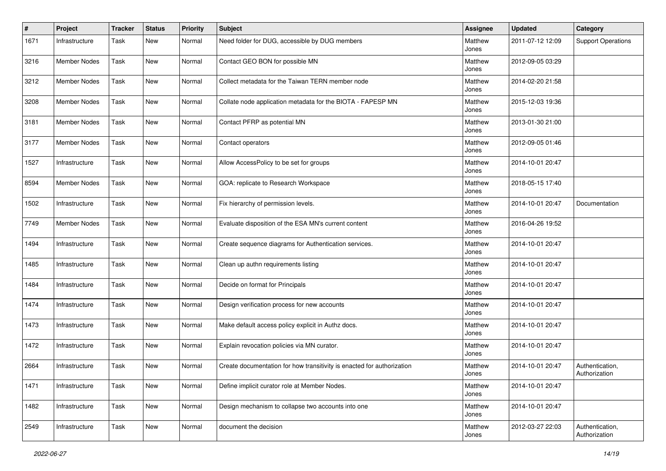| #    | Project             | <b>Tracker</b> | <b>Status</b> | <b>Priority</b> | <b>Subject</b>                                                         | <b>Assignee</b>  | <b>Updated</b>   | Category                         |
|------|---------------------|----------------|---------------|-----------------|------------------------------------------------------------------------|------------------|------------------|----------------------------------|
| 1671 | Infrastructure      | Task           | New           | Normal          | Need folder for DUG, accessible by DUG members                         | Matthew<br>Jones | 2011-07-12 12:09 | <b>Support Operations</b>        |
| 3216 | <b>Member Nodes</b> | Task           | New           | Normal          | Contact GEO BON for possible MN                                        | Matthew<br>Jones | 2012-09-05 03:29 |                                  |
| 3212 | <b>Member Nodes</b> | Task           | New           | Normal          | Collect metadata for the Taiwan TERN member node                       | Matthew<br>Jones | 2014-02-20 21:58 |                                  |
| 3208 | <b>Member Nodes</b> | Task           | New           | Normal          | Collate node application metadata for the BIOTA - FAPESP MN            | Matthew<br>Jones | 2015-12-03 19:36 |                                  |
| 3181 | Member Nodes        | Task           | New           | Normal          | Contact PFRP as potential MN                                           | Matthew<br>Jones | 2013-01-30 21:00 |                                  |
| 3177 | <b>Member Nodes</b> | Task           | New           | Normal          | Contact operators                                                      | Matthew<br>Jones | 2012-09-05 01:46 |                                  |
| 1527 | Infrastructure      | Task           | New           | Normal          | Allow AccessPolicy to be set for groups                                | Matthew<br>Jones | 2014-10-01 20:47 |                                  |
| 8594 | <b>Member Nodes</b> | Task           | New           | Normal          | GOA: replicate to Research Workspace                                   | Matthew<br>Jones | 2018-05-15 17:40 |                                  |
| 1502 | Infrastructure      | Task           | New           | Normal          | Fix hierarchy of permission levels.                                    | Matthew<br>Jones | 2014-10-01 20:47 | Documentation                    |
| 7749 | <b>Member Nodes</b> | Task           | New           | Normal          | Evaluate disposition of the ESA MN's current content                   | Matthew<br>Jones | 2016-04-26 19:52 |                                  |
| 1494 | Infrastructure      | Task           | New           | Normal          | Create sequence diagrams for Authentication services.                  | Matthew<br>Jones | 2014-10-01 20:47 |                                  |
| 1485 | Infrastructure      | Task           | New           | Normal          | Clean up authn requirements listing                                    | Matthew<br>Jones | 2014-10-01 20:47 |                                  |
| 1484 | Infrastructure      | Task           | New           | Normal          | Decide on format for Principals                                        | Matthew<br>Jones | 2014-10-01 20:47 |                                  |
| 1474 | Infrastructure      | Task           | New           | Normal          | Design verification process for new accounts                           | Matthew<br>Jones | 2014-10-01 20:47 |                                  |
| 1473 | Infrastructure      | Task           | New           | Normal          | Make default access policy explicit in Authz docs.                     | Matthew<br>Jones | 2014-10-01 20:47 |                                  |
| 1472 | Infrastructure      | Task           | New           | Normal          | Explain revocation policies via MN curator.                            | Matthew<br>Jones | 2014-10-01 20:47 |                                  |
| 2664 | Infrastructure      | Task           | New           | Normal          | Create documentation for how transitivity is enacted for authorization | Matthew<br>Jones | 2014-10-01 20:47 | Authentication,<br>Authorization |
| 1471 | Infrastructure      | Task           | New           | Normal          | Define implicit curator role at Member Nodes.                          | Matthew<br>Jones | 2014-10-01 20:47 |                                  |
| 1482 | Infrastructure      | Task           | New           | Normal          | Design mechanism to collapse two accounts into one                     | Matthew<br>Jones | 2014-10-01 20:47 |                                  |
| 2549 | Infrastructure      | Task           | New           | Normal          | document the decision                                                  | Matthew<br>Jones | 2012-03-27 22:03 | Authentication,<br>Authorization |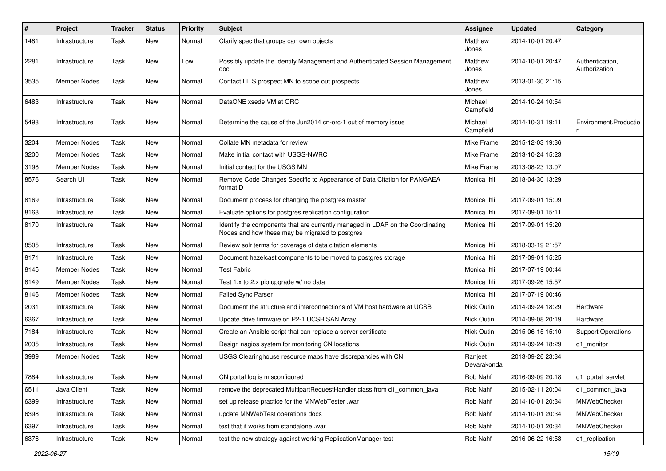| $\pmb{\#}$ | Project             | <b>Tracker</b> | <b>Status</b> | <b>Priority</b> | Subject                                                                                                                           | <b>Assignee</b>        | <b>Updated</b>   | Category                         |
|------------|---------------------|----------------|---------------|-----------------|-----------------------------------------------------------------------------------------------------------------------------------|------------------------|------------------|----------------------------------|
| 1481       | Infrastructure      | Task           | <b>New</b>    | Normal          | Clarify spec that groups can own objects                                                                                          | Matthew<br>Jones       | 2014-10-01 20:47 |                                  |
| 2281       | Infrastructure      | Task           | New           | Low             | Possibly update the Identity Management and Authenticated Session Management<br>doc                                               | Matthew<br>Jones       | 2014-10-01 20:47 | Authentication,<br>Authorization |
| 3535       | <b>Member Nodes</b> | Task           | <b>New</b>    | Normal          | Contact LITS prospect MN to scope out prospects                                                                                   | Matthew<br>Jones       | 2013-01-30 21:15 |                                  |
| 6483       | Infrastructure      | Task           | New           | Normal          | DataONE xsede VM at ORC                                                                                                           | Michael<br>Campfield   | 2014-10-24 10:54 |                                  |
| 5498       | Infrastructure      | Task           | <b>New</b>    | Normal          | Determine the cause of the Jun2014 cn-orc-1 out of memory issue                                                                   | Michael<br>Campfield   | 2014-10-31 19:11 | Environment.Productio            |
| 3204       | <b>Member Nodes</b> | Task           | New           | Normal          | Collate MN metadata for review                                                                                                    | Mike Frame             | 2015-12-03 19:36 |                                  |
| 3200       | <b>Member Nodes</b> | Task           | <b>New</b>    | Normal          | Make initial contact with USGS-NWRC                                                                                               | Mike Frame             | 2013-10-24 15:23 |                                  |
| 3198       | <b>Member Nodes</b> | Task           | <b>New</b>    | Normal          | Initial contact for the USGS MN                                                                                                   | Mike Frame             | 2013-08-23 13:07 |                                  |
| 8576       | Search UI           | Task           | <b>New</b>    | Normal          | Remove Code Changes Specific to Appearance of Data Citation for PANGAEA<br>formatID                                               | Monica Ihli            | 2018-04-30 13:29 |                                  |
| 8169       | Infrastructure      | Task           | <b>New</b>    | Normal          | Document process for changing the postgres master                                                                                 | Monica Ihli            | 2017-09-01 15:09 |                                  |
| 8168       | Infrastructure      | Task           | <b>New</b>    | Normal          | Evaluate options for postgres replication configuration                                                                           | Monica Ihli            | 2017-09-01 15:11 |                                  |
| 8170       | Infrastructure      | Task           | <b>New</b>    | Normal          | Identify the components that are currently managed in LDAP on the Coordinating<br>Nodes and how these may be migrated to postgres | Monica Ihli            | 2017-09-01 15:20 |                                  |
| 8505       | Infrastructure      | Task           | <b>New</b>    | Normal          | Review solr terms for coverage of data citation elements                                                                          | Monica Ihli            | 2018-03-19 21:57 |                                  |
| 8171       | Infrastructure      | Task           | <b>New</b>    | Normal          | Document hazelcast components to be moved to postgres storage                                                                     | Monica Ihli            | 2017-09-01 15:25 |                                  |
| 8145       | Member Nodes        | Task           | <b>New</b>    | Normal          | <b>Test Fabric</b>                                                                                                                | Monica Ihli            | 2017-07-19 00:44 |                                  |
| 8149       | <b>Member Nodes</b> | Task           | New           | Normal          | Test 1.x to 2.x pip upgrade w/ no data                                                                                            | Monica Ihli            | 2017-09-26 15:57 |                                  |
| 8146       | <b>Member Nodes</b> | Task           | <b>New</b>    | Normal          | Failed Sync Parser                                                                                                                | Monica Ihli            | 2017-07-19 00:46 |                                  |
| 2031       | Infrastructure      | Task           | <b>New</b>    | Normal          | Document the structure and interconnections of VM host hardware at UCSB                                                           | Nick Outin             | 2014-09-24 18:29 | Hardware                         |
| 6367       | Infrastructure      | Task           | <b>New</b>    | Normal          | Update drive firmware on P2-1 UCSB SAN Array                                                                                      | Nick Outin             | 2014-09-08 20:19 | Hardware                         |
| 7184       | Infrastructure      | Task           | New           | Normal          | Create an Ansible script that can replace a server certificate                                                                    | Nick Outin             | 2015-06-15 15:10 | <b>Support Operations</b>        |
| 2035       | Infrastructure      | Task           | New           | Normal          | Design nagios system for monitoring CN locations                                                                                  | Nick Outin             | 2014-09-24 18:29 | d1_monitor                       |
| 3989       | <b>Member Nodes</b> | Task           | <b>New</b>    | Normal          | USGS Clearinghouse resource maps have discrepancies with CN                                                                       | Ranjeet<br>Devarakonda | 2013-09-26 23:34 |                                  |
| 7884       | Infrastructure      | Task           | New           | Normal          | CN portal log is misconfigured                                                                                                    | Rob Nahf               | 2016-09-09 20:18 | d1_portal_servlet                |
| 6511       | Java Client         | Task           | New           | Normal          | remove the deprecated MultipartRequestHandler class from d1_common_java                                                           | Rob Nahf               | 2015-02-11 20:04 | d1 common java                   |
| 6399       | Infrastructure      | Task           | New           | Normal          | set up release practice for the MNWebTester .war                                                                                  | Rob Nahf               | 2014-10-01 20:34 | MNWebChecker                     |
| 6398       | Infrastructure      | Task           | New           | Normal          | update MNWebTest operations docs                                                                                                  | Rob Nahf               | 2014-10-01 20:34 | MNWebChecker                     |
| 6397       | Infrastructure      | Task           | New           | Normal          | test that it works from standalone .war                                                                                           | Rob Nahf               | 2014-10-01 20:34 | MNWebChecker                     |
| 6376       | Infrastructure      | Task           | New           | Normal          | test the new strategy against working ReplicationManager test                                                                     | Rob Nahf               | 2016-06-22 16:53 | d1_replication                   |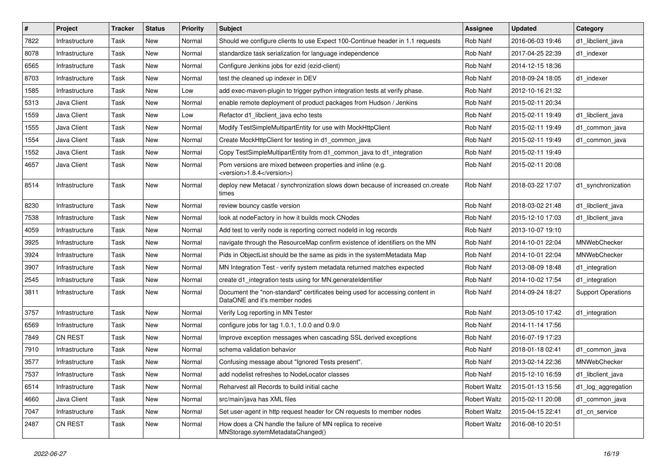| $\vert$ # | Project        | <b>Tracker</b> | <b>Status</b> | <b>Priority</b> | <b>Subject</b>                                                                                                | Assignee            | <b>Updated</b>   | Category                  |
|-----------|----------------|----------------|---------------|-----------------|---------------------------------------------------------------------------------------------------------------|---------------------|------------------|---------------------------|
| 7822      | Infrastructure | Task           | New           | Normal          | Should we configure clients to use Expect 100-Continue header in 1.1 requests                                 | Rob Nahf            | 2016-06-03 19:46 | d1 libclient java         |
| 8078      | Infrastructure | Task           | New           | Normal          | standardize task serialization for language independence                                                      | Rob Nahf            | 2017-04-25 22:39 | d1 indexer                |
| 6565      | Infrastructure | Task           | New           | Normal          | Configure Jenkins jobs for ezid (ezid-client)                                                                 | Rob Nahf            | 2014-12-15 18:36 |                           |
| 8703      | Infrastructure | Task           | New           | Normal          | test the cleaned up indexer in DEV                                                                            | Rob Nahf            | 2018-09-24 18:05 | d1 indexer                |
| 1585      | Infrastructure | Task           | <b>New</b>    | Low             | add exec-maven-plugin to trigger python integration tests at verify phase.                                    | Rob Nahf            | 2012-10-16 21:32 |                           |
| 5313      | Java Client    | Task           | New           | Normal          | enable remote deployment of product packages from Hudson / Jenkins                                            | Rob Nahf            | 2015-02-11 20:34 |                           |
| 1559      | Java Client    | Task           | New           | Low             | Refactor d1_libclient_java echo tests                                                                         | Rob Nahf            | 2015-02-11 19:49 | d1_libclient_java         |
| 1555      | Java Client    | Task           | New           | Normal          | Modify TestSimpleMultipartEntity for use with MockHttpClient                                                  | Rob Nahf            | 2015-02-11 19:49 | d1 common java            |
| 1554      | Java Client    | Task           | New           | Normal          | Create MockHttpClient for testing in d1_common_java                                                           | Rob Nahf            | 2015-02-11 19:49 | d1_common_java            |
| 1552      | Java Client    | Task           | <b>New</b>    | Normal          | Copy TestSimpleMultipartEntity from d1_common_java to d1_integration                                          | Rob Nahf            | 2015-02-11 19:49 |                           |
| 4657      | Java Client    | Task           | New           | Normal          | Pom versions are mixed between properties and inline (e.g.<br><version>1.8.4</version> )                      | Rob Nahf            | 2015-02-11 20:08 |                           |
| 8514      | Infrastructure | Task           | New           | Normal          | deploy new Metacat / synchronization slows down because of increased cn.create<br>times                       | Rob Nahf            | 2018-03-22 17:07 | d1_synchronization        |
| 8230      | Infrastructure | Task           | New           | Normal          | review bouncy castle version                                                                                  | Rob Nahf            | 2018-03-02 21:48 | d1_libclient_java         |
| 7538      | Infrastructure | Task           | New           | Normal          | look at nodeFactory in how it builds mock CNodes                                                              | Rob Nahf            | 2015-12-10 17:03 | d1 libclient java         |
| 4059      | Infrastructure | Task           | New           | Normal          | Add test to verify node is reporting correct nodeld in log records                                            | Rob Nahf            | 2013-10-07 19:10 |                           |
| 3925      | Infrastructure | Task           | <b>New</b>    | Normal          | navigate through the ResourceMap confirm existence of identifiers on the MN                                   | Rob Nahf            | 2014-10-01 22:04 | MNWebChecker              |
| 3924      | Infrastructure | Task           | New           | Normal          | Pids in ObjectList should be the same as pids in the systemMetadata Map                                       | Rob Nahf            | 2014-10-01 22:04 | MNWebChecker              |
| 3907      | Infrastructure | Task           | New           | Normal          | MN Integration Test - verify system metadata returned matches expected                                        | Rob Nahf            | 2013-08-09 18:48 | d1_integration            |
| 2545      | Infrastructure | Task           | <b>New</b>    | Normal          | create d1_integration tests using for MN.generateIdentifier                                                   | Rob Nahf            | 2014-10-02 17:54 | d1_integration            |
| 3811      | Infrastructure | Task           | New           | Normal          | Document the "non-standard" certificates being used for accessing content in<br>DataONE and it's member nodes | Rob Nahf            | 2014-09-24 18:27 | <b>Support Operations</b> |
| 3757      | Infrastructure | Task           | New           | Normal          | Verify Log reporting in MN Tester                                                                             | Rob Nahf            | 2013-05-10 17:42 | d1_integration            |
| 6569      | Infrastructure | Task           | New           | Normal          | configure jobs for tag 1.0.1, 1.0.0 and 0.9.0                                                                 | Rob Nahf            | 2014-11-14 17:56 |                           |
| 7849      | CN REST        | Task           | <b>New</b>    | Normal          | Improve exception messages when cascading SSL derived exceptions                                              | Rob Nahf            | 2016-07-19 17:23 |                           |
| 7910      | Infrastructure | Task           | New           | Normal          | schema validation behavior                                                                                    | Rob Nahf            | 2018-01-18 02:41 | d1_common_java            |
| 3577      | Infrastructure | Task           | New           | Normal          | Confusing message about "Ignored Tests present".                                                              | Rob Nahf            | 2013-02-14 22:36 | MNWebChecker              |
| 7537      | Infrastructure | Task           | New           | Normal          | add nodelist refreshes to NodeLocator classes                                                                 | Rob Nahf            | 2015-12-10 16:59 | d1_libclient_java         |
| 6514      | Infrastructure | Task           | New           | Normal          | Reharvest all Records to build initial cache                                                                  | <b>Robert Waltz</b> | 2015-01-13 15:56 | d1 log aggregation        |
| 4660      | Java Client    | Task           | <b>New</b>    | Normal          | src/main/java has XML files                                                                                   | <b>Robert Waltz</b> | 2015-02-11 20:08 | d1_common_java            |
| 7047      | Infrastructure | Task           | New           | Normal          | Set user-agent in http request header for CN requests to member nodes                                         | <b>Robert Waltz</b> | 2015-04-15 22:41 | d1 cn service             |
| 2487      | CN REST        | Task           | New           | Normal          | How does a CN handle the failure of MN replica to receive<br>MNStorage.sytemMetadataChanged()                 | <b>Robert Waltz</b> | 2016-08-10 20:51 |                           |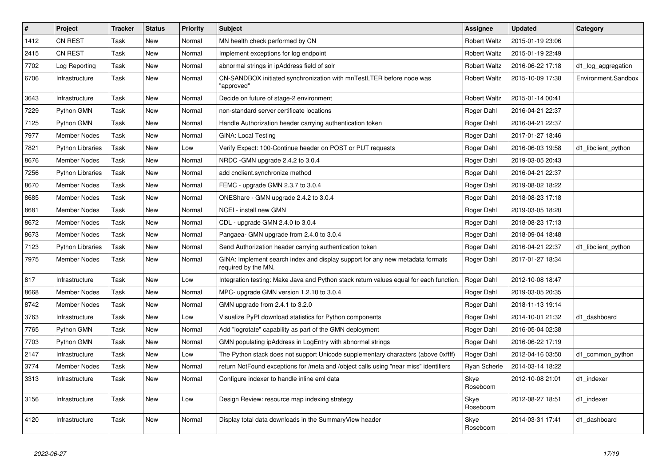| $\sharp$ | Project                 | <b>Tracker</b> | <b>Status</b> | <b>Priority</b> | <b>Subject</b>                                                                                       | <b>Assignee</b>     | <b>Updated</b>   | Category            |
|----------|-------------------------|----------------|---------------|-----------------|------------------------------------------------------------------------------------------------------|---------------------|------------------|---------------------|
| 1412     | <b>CN REST</b>          | Task           | <b>New</b>    | Normal          | MN health check performed by CN                                                                      | Robert Waltz        | 2015-01-19 23:06 |                     |
| 2415     | <b>CN REST</b>          | Task           | <b>New</b>    | Normal          | Implement exceptions for log endpoint                                                                | Robert Waltz        | 2015-01-19 22:49 |                     |
| 7702     | Log Reporting           | Task           | <b>New</b>    | Normal          | abnormal strings in ipAddress field of solr                                                          | Robert Waltz        | 2016-06-22 17:18 | d1_log_aggregation  |
| 6706     | Infrastructure          | Task           | New           | Normal          | CN-SANDBOX initiated synchronization with mnTestLTER before node was<br>"approved"                   | <b>Robert Waltz</b> | 2015-10-09 17:38 | Environment.Sandbox |
| 3643     | Infrastructure          | Task           | <b>New</b>    | Normal          | Decide on future of stage-2 environment                                                              | <b>Robert Waltz</b> | 2015-01-14 00:41 |                     |
| 7229     | Python GMN              | Task           | <b>New</b>    | Normal          | non-standard server certificate locations                                                            | Roger Dahl          | 2016-04-21 22:37 |                     |
| 7125     | Python GMN              | Task           | <b>New</b>    | Normal          | Handle Authorization header carrying authentication token                                            | Roger Dahl          | 2016-04-21 22:37 |                     |
| 7977     | <b>Member Nodes</b>     | Task           | <b>New</b>    | Normal          | <b>GINA: Local Testing</b>                                                                           | Roger Dahl          | 2017-01-27 18:46 |                     |
| 7821     | <b>Python Libraries</b> | Task           | New           | Low             | Verify Expect: 100-Continue header on POST or PUT requests                                           | Roger Dahl          | 2016-06-03 19:58 | d1_libclient_python |
| 8676     | <b>Member Nodes</b>     | Task           | New           | Normal          | NRDC - GMN upgrade 2.4.2 to 3.0.4                                                                    | Roger Dahl          | 2019-03-05 20:43 |                     |
| 7256     | <b>Python Libraries</b> | Task           | <b>New</b>    | Normal          | add cnclient.synchronize method                                                                      | Roger Dahl          | 2016-04-21 22:37 |                     |
| 8670     | <b>Member Nodes</b>     | Task           | <b>New</b>    | Normal          | FEMC - upgrade GMN 2.3.7 to 3.0.4                                                                    | Roger Dahl          | 2019-08-02 18:22 |                     |
| 8685     | Member Nodes            | Task           | New           | Normal          | ONEShare - GMN upgrade 2.4.2 to 3.0.4                                                                | Roger Dahl          | 2018-08-23 17:18 |                     |
| 8681     | <b>Member Nodes</b>     | Task           | New           | Normal          | NCEI - install new GMN                                                                               | Roger Dahl          | 2019-03-05 18:20 |                     |
| 8672     | <b>Member Nodes</b>     | Task           | <b>New</b>    | Normal          | CDL - upgrade GMN 2.4.0 to 3.0.4                                                                     | Roger Dahl          | 2018-08-23 17:13 |                     |
| 8673     | <b>Member Nodes</b>     | Task           | <b>New</b>    | Normal          | Pangaea- GMN upgrade from 2.4.0 to 3.0.4                                                             | Roger Dahl          | 2018-09-04 18:48 |                     |
| 7123     | <b>Python Libraries</b> | Task           | New           | Normal          | Send Authorization header carrying authentication token                                              | Roger Dahl          | 2016-04-21 22:37 | d1_libclient_python |
| 7975     | <b>Member Nodes</b>     | Task           | New           | Normal          | GINA: Implement search index and display support for any new metadata formats<br>required by the MN. | Roger Dahl          | 2017-01-27 18:34 |                     |
| 817      | Infrastructure          | Task           | <b>New</b>    | Low             | Integration testing: Make Java and Python stack return values equal for each function.               | Roger Dahl          | 2012-10-08 18:47 |                     |
| 8668     | Member Nodes            | Task           | New           | Normal          | MPC- upgrade GMN version 1.2.10 to 3.0.4                                                             | Roger Dahl          | 2019-03-05 20:35 |                     |
| 8742     | <b>Member Nodes</b>     | Task           | <b>New</b>    | Normal          | GMN upgrade from 2.4.1 to 3.2.0                                                                      | Roger Dahl          | 2018-11-13 19:14 |                     |
| 3763     | Infrastructure          | Task           | <b>New</b>    | Low             | Visualize PyPI download statistics for Python components                                             | Roger Dahl          | 2014-10-01 21:32 | d1 dashboard        |
| 7765     | Python GMN              | Task           | New           | Normal          | Add "logrotate" capability as part of the GMN deployment                                             | Roger Dahl          | 2016-05-04 02:38 |                     |
| 7703     | Python GMN              | Task           | New           | Normal          | GMN populating ipAddress in LogEntry with abnormal strings                                           | Roger Dahl          | 2016-06-22 17:19 |                     |
| 2147     | Infrastructure          | Task           | <b>New</b>    | Low             | The Python stack does not support Unicode supplementary characters (above 0xffff)                    | Roger Dahl          | 2012-04-16 03:50 | d1 common python    |
| 3774     | <b>Member Nodes</b>     | Task           | <b>New</b>    | Normal          | return NotFound exceptions for /meta and /object calls using "near miss" identifiers                 | Ryan Scherle        | 2014-03-14 18:22 |                     |
| 3313     | Infrastructure          | Task           | New           | Normal          | Configure indexer to handle inline eml data                                                          | Skye<br>Roseboom    | 2012-10-08 21:01 | d1 indexer          |
| 3156     | Infrastructure          | Task           | <b>New</b>    | Low             | Design Review: resource map indexing strategy                                                        | Skye<br>Roseboom    | 2012-08-27 18:51 | d1_indexer          |
| 4120     | Infrastructure          | Task           | New           | Normal          | Display total data downloads in the SummaryView header                                               | Skye<br>Roseboom    | 2014-03-31 17:41 | d1_dashboard        |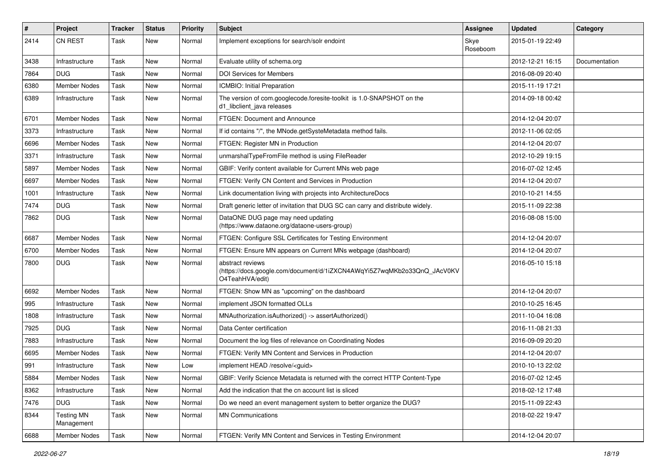| #    | Project                         | <b>Tracker</b> | <b>Status</b> | <b>Priority</b> | <b>Subject</b>                                                                                                 | Assignee         | <b>Updated</b>   | Category      |
|------|---------------------------------|----------------|---------------|-----------------|----------------------------------------------------------------------------------------------------------------|------------------|------------------|---------------|
| 2414 | <b>CN REST</b>                  | Task           | New           | Normal          | Implement exceptions for search/solr endoint                                                                   | Skye<br>Roseboom | 2015-01-19 22:49 |               |
| 3438 | Infrastructure                  | Task           | New           | Normal          | Evaluate utility of schema.org                                                                                 |                  | 2012-12-21 16:15 | Documentation |
| 7864 | DUG.                            | Task           | New           | Normal          | <b>DOI Services for Members</b>                                                                                |                  | 2016-08-09 20:40 |               |
| 6380 | <b>Member Nodes</b>             | Task           | New           | Normal          | ICMBIO: Initial Preparation                                                                                    |                  | 2015-11-19 17:21 |               |
| 6389 | Infrastructure                  | Task           | New           | Normal          | The version of com.googlecode.foresite-toolkit is 1.0-SNAPSHOT on the<br>d1_libclient_java releases            |                  | 2014-09-18 00:42 |               |
| 6701 | Member Nodes                    | Task           | New           | Normal          | <b>FTGEN: Document and Announce</b>                                                                            |                  | 2014-12-04 20:07 |               |
| 3373 | Infrastructure                  | Task           | New           | Normal          | If id contains "/", the MNode.getSysteMetadata method fails.                                                   |                  | 2012-11-06 02:05 |               |
| 6696 | <b>Member Nodes</b>             | Task           | New           | Normal          | FTGEN: Register MN in Production                                                                               |                  | 2014-12-04 20:07 |               |
| 3371 | Infrastructure                  | Task           | New           | Normal          | unmarshalTypeFromFile method is using FileReader                                                               |                  | 2012-10-29 19:15 |               |
| 5897 | <b>Member Nodes</b>             | Task           | New           | Normal          | GBIF: Verify content available for Current MNs web page                                                        |                  | 2016-07-02 12:45 |               |
| 6697 | <b>Member Nodes</b>             | Task           | New           | Normal          | FTGEN: Verify CN Content and Services in Production                                                            |                  | 2014-12-04 20:07 |               |
| 1001 | Infrastructure                  | Task           | New           | Normal          | Link documentation living with projects into ArchitectureDocs                                                  |                  | 2010-10-21 14:55 |               |
| 7474 | <b>DUG</b>                      | Task           | New           | Normal          | Draft generic letter of invitation that DUG SC can carry and distribute widely.                                |                  | 2015-11-09 22:38 |               |
| 7862 | <b>DUG</b>                      | Task           | New           | Normal          | DataONE DUG page may need updating<br>(https://www.dataone.org/dataone-users-group)                            |                  | 2016-08-08 15:00 |               |
| 6687 | <b>Member Nodes</b>             | Task           | New           | Normal          | FTGEN: Configure SSL Certificates for Testing Environment                                                      |                  | 2014-12-04 20:07 |               |
| 6700 | <b>Member Nodes</b>             | Task           | New           | Normal          | FTGEN: Ensure MN appears on Current MNs webpage (dashboard)                                                    |                  | 2014-12-04 20:07 |               |
| 7800 | <b>DUG</b>                      | Task           | New           | Normal          | abstract reviews<br>(https://docs.google.com/document/d/1iZXCN4AWqYi5Z7wqMKb2o33QnQ_JAcV0KV<br>O4TeahHVA/edit) |                  | 2016-05-10 15:18 |               |
| 6692 | <b>Member Nodes</b>             | Task           | New           | Normal          | FTGEN: Show MN as "upcoming" on the dashboard                                                                  |                  | 2014-12-04 20:07 |               |
| 995  | Infrastructure                  | Task           | New           | Normal          | implement JSON formatted OLLs                                                                                  |                  | 2010-10-25 16:45 |               |
| 1808 | Infrastructure                  | Task           | New           | Normal          | MNAuthorization.isAuthorized() -> assertAuthorized()                                                           |                  | 2011-10-04 16:08 |               |
| 7925 | <b>DUG</b>                      | Task           | <b>New</b>    | Normal          | Data Center certification                                                                                      |                  | 2016-11-08 21:33 |               |
| 7883 | Infrastructure                  | Task           | New           | Normal          | Document the log files of relevance on Coordinating Nodes                                                      |                  | 2016-09-09 20:20 |               |
| 6695 | <b>Member Nodes</b>             | Task           | New           | Normal          | FTGEN: Verify MN Content and Services in Production                                                            |                  | 2014-12-04 20:07 |               |
| 991  | Infrastructure                  | Task           | New           | Low             | implement HEAD /resolve/ <guid></guid>                                                                         |                  | 2010-10-13 22:02 |               |
| 5884 | Member Nodes                    | Task           | New           | Normal          | GBIF: Verify Science Metadata is returned with the correct HTTP Content-Type                                   |                  | 2016-07-02 12:45 |               |
| 8362 | Infrastructure                  | Task           | New           | Normal          | Add the indication that the cn account list is sliced                                                          |                  | 2018-02-12 17:48 |               |
| 7476 | <b>DUG</b>                      | Task           | New           | Normal          | Do we need an event management system to better organize the DUG?                                              |                  | 2015-11-09 22:43 |               |
| 8344 | <b>Testing MN</b><br>Management | Task           | New           | Normal          | <b>MN Communications</b>                                                                                       |                  | 2018-02-22 19:47 |               |
| 6688 | Member Nodes                    | Task           | New           | Normal          | FTGEN: Verify MN Content and Services in Testing Environment                                                   |                  | 2014-12-04 20:07 |               |